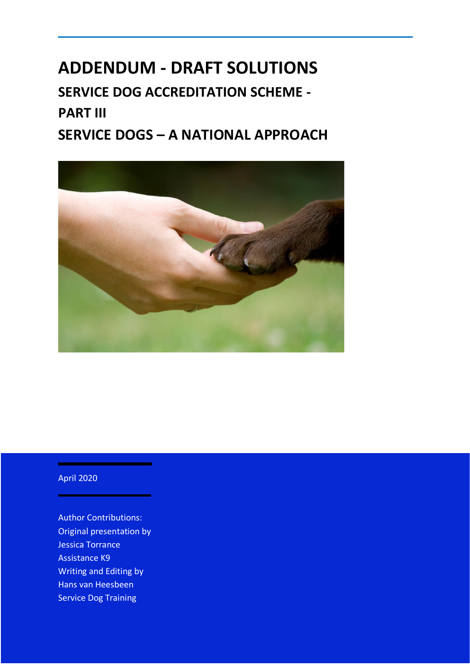# **ADDENDUM - DRAFT SOLUTIONS SERVICE DOG ACCREDITATION SCHEME - PART III SERVICE DOGS – A NATIONAL APPROACH**



#### April 2020

Author Contributions: Original presentation by Jessica Torrance Assistance K9 Writing and Editing by Hans van Heesbeen Service Dog Training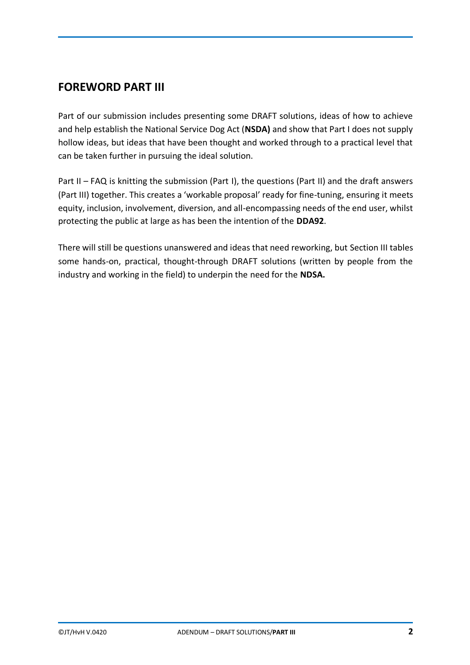## <span id="page-1-0"></span>**FOREWORD PART III**

Part of our submission includes presenting some DRAFT solutions, ideas of how to achieve and help establish the National Service Dog Act (**NSDA)** and show that Part I does not supply hollow ideas, but ideas that have been thought and worked through to a practical level that can be taken further in pursuing the ideal solution.

Part II – FAQ is knitting the submission (Part I), the questions (Part II) and the draft answers (Part III) together. This creates a 'workable proposal' ready for fine-tuning, ensuring it meets equity, inclusion, involvement, diversion, and all-encompassing needs of the end user, whilst protecting the public at large as has been the intention of the **DDA92**.

There will still be questions unanswered and ideas that need reworking, but Section III tables some hands-on, practical, thought-through DRAFT solutions (written by people from the industry and working in the field) to underpin the need for the **NDSA.**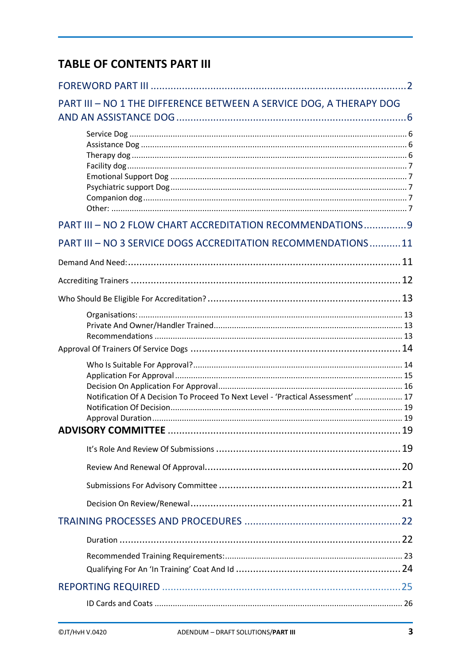## **TABLE OF CONTENTS PART III**

| PART III - NO 1 THE DIFFERENCE BETWEEN A SERVICE DOG, A THERAPY DOG              |  |
|----------------------------------------------------------------------------------|--|
|                                                                                  |  |
| PART III - NO 2 FLOW CHART ACCREDITATION RECOMMENDATIONS 9                       |  |
| PART III - NO 3 SERVICE DOGS ACCREDITATION RECOMMENDATIONS11                     |  |
|                                                                                  |  |
|                                                                                  |  |
|                                                                                  |  |
|                                                                                  |  |
|                                                                                  |  |
| Notification Of A Decision To Proceed To Next Level - 'Practical Assessment'  17 |  |
|                                                                                  |  |
|                                                                                  |  |
|                                                                                  |  |
|                                                                                  |  |
|                                                                                  |  |
|                                                                                  |  |
|                                                                                  |  |
|                                                                                  |  |
|                                                                                  |  |
|                                                                                  |  |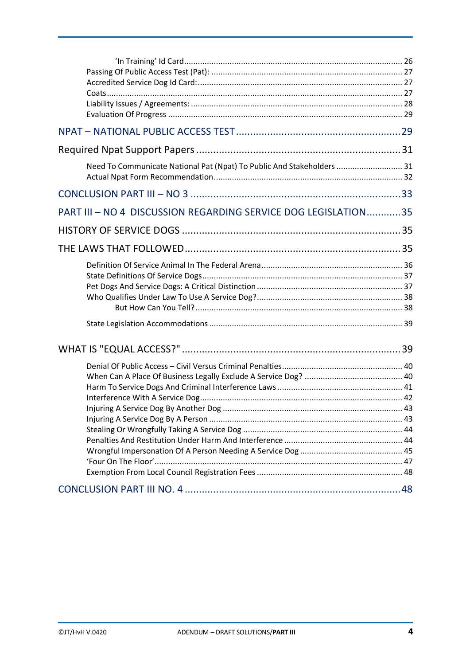| Need To Communicate National Pat (Npat) To Public And Stakeholders  31 |
|------------------------------------------------------------------------|
|                                                                        |
| PART III - NO 4 DISCUSSION REGARDING SERVICE DOG LEGISLATION35         |
|                                                                        |
|                                                                        |
|                                                                        |
|                                                                        |
|                                                                        |
|                                                                        |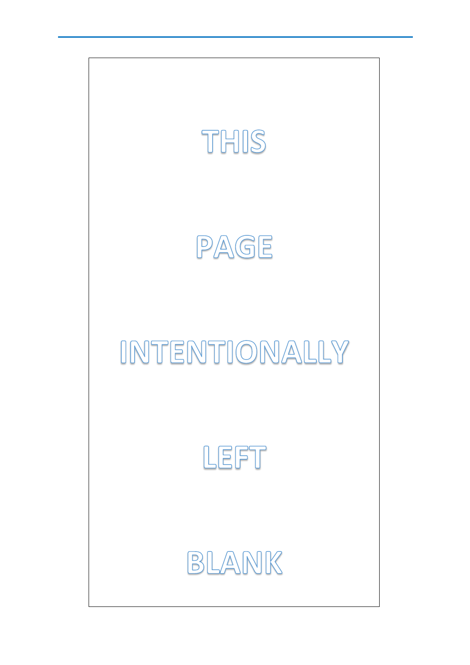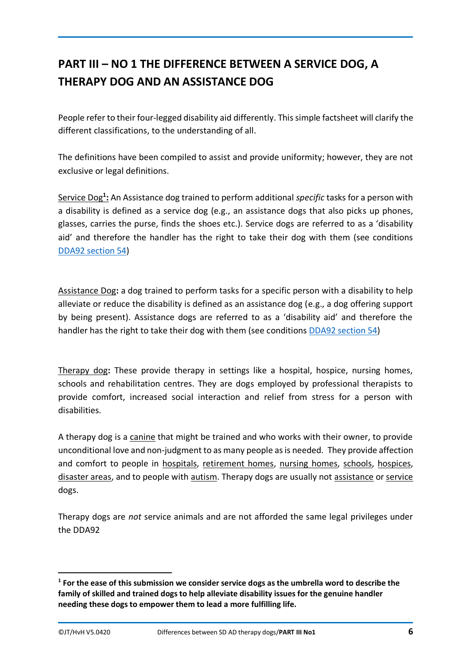## <span id="page-5-0"></span>**PART III – NO 1 THE DIFFERENCE BETWEEN A SERVICE DOG, A THERAPY DOG AND AN ASSISTANCE DOG**

People refer to their four-legged disability aid differently. This simple factsheet will clarify the different classifications, to the understanding of all.

The definitions have been compiled to assist and provide uniformity; however, they are not exclusive or legal definitions.

<span id="page-5-1"></span>Service Dog**<sup>1</sup> :** An Assistance dog trained to perform additional *specific* tasks for a person with a disability is defined as a service dog (e.g., an assistance dogs that also picks up phones, glasses, carries the purse, finds the shoes etc.). Service dogs are referred to as a 'disability aid' and therefore the handler has the right to take their dog with them (see conditions [DDA92 section 54\)](http://www8.austlii.edu.au/cgi-bin/viewdoc/au/legis/cth/consol_act/dda1992264/s54a.html)

<span id="page-5-2"></span>Assistance Dog**:** a dog trained to perform tasks for a specific person with a disability to help alleviate or reduce the disability is defined as an assistance dog (e.g., a dog offering support by being present). Assistance dogs are referred to as a 'disability aid' and therefore the handler has the right to take their dog with them (see conditions [DDA92 section 54\)](http://www8.austlii.edu.au/cgi-bin/viewdoc/au/legis/cth/consol_act/dda1992264/s54a.html)

<span id="page-5-3"></span>Therapy dog**:** These provide therapy in settings like a hospital, hospice, nursing homes, schools and rehabilitation centres. They are dogs employed by professional therapists to provide comfort, increased social interaction and relief from stress for a person with disabilities.

A therapy dog is a [canine](https://en.wikipedia.org/wiki/Canine) that might be trained and who works with their owner, to provide unconditional love and non-judgment to as many people as is needed. They provide affection and comfort to people in [hospitals,](https://en.wikipedia.org/wiki/Hospital) [retirement homes,](https://en.wikipedia.org/wiki/Retirement_home) [nursing homes,](https://en.wikipedia.org/wiki/Nursing_home) [schools,](https://en.wikipedia.org/wiki/School) [hospices,](https://en.wikipedia.org/wiki/Hospice) [disaster areas,](https://en.wikipedia.org/wiki/Disaster_area) and to people with [autism.](https://en.wikipedia.org/wiki/Autism) Therapy dogs are usually not [assistance](https://en.wikipedia.org/wiki/Assistance_dog) or [service](https://en.wikipedia.org/wiki/Service_dog) dogs.

Therapy dogs are *not* service animals and are not afforded the same legal privileges under the DDA92

**<sup>1</sup> For the ease of this submission we consider service dogs as the umbrella word to describe the family of skilled and trained dogs to help alleviate disability issues for the genuine handler needing these dogs to empower them to lead a more fulfilling life.**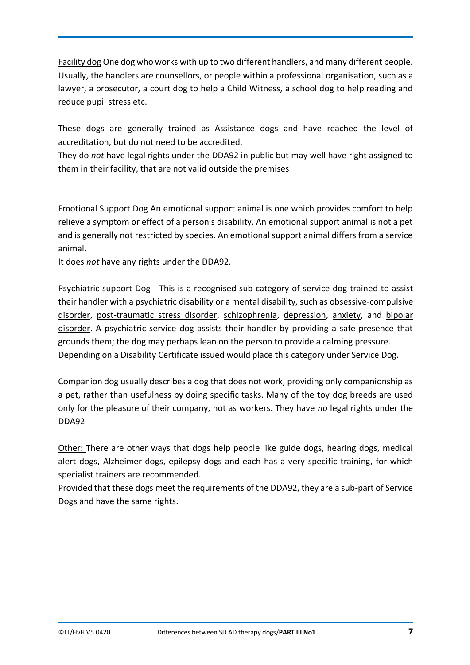<span id="page-6-0"></span>Facility dog One dog who works with up to two different handlers, and many different people. Usually, the handlers are counsellors, or people within a professional organisation, such as a lawyer, a prosecutor, a court dog to help a Child Witness, a school dog to help reading and reduce pupil stress etc.

These dogs are generally trained as Assistance dogs and have reached the level of accreditation, but do not need to be accredited.

They do *not* have legal rights under the DDA92 in public but may well have right assigned to them in their facility, that are not valid outside the premises

<span id="page-6-1"></span>Emotional Support Dog An emotional support animal is one which provides comfort to help relieve a symptom or effect of a person's disability. An emotional support animal is not a pet and is generally not restricted by species. An emotional support animal differs from a service animal.

It does *not* have any rights under the DDA92.

<span id="page-6-2"></span>Psychiatric support DogThis is a recognised sub-category of [service dog](https://en.wikipedia.org/wiki/Service_dog) trained to assist their handler with a psychiatri[c disability](https://en.wikipedia.org/wiki/Disability) or a mental disability, such a[s obsessive-compulsive](https://en.wikipedia.org/wiki/Obsessive%E2%80%93compulsive_disorder)  [disorder,](https://en.wikipedia.org/wiki/Obsessive%E2%80%93compulsive_disorder) [post-traumatic stress disorder,](https://en.wikipedia.org/wiki/Post-traumatic_stress_disorder) [schizophrenia,](https://en.wikipedia.org/wiki/Schizophrenia) [depression,](https://en.wikipedia.org/wiki/Depression_(mood)) [anxiety,](https://en.wikipedia.org/wiki/Anxiety) and [bipolar](https://en.wikipedia.org/wiki/Bipolar_disorder)  [disorder.](https://en.wikipedia.org/wiki/Bipolar_disorder) A psychiatric service dog assists their handler by providing a safe presence that grounds them; the dog may perhaps lean on the person to provide a calming pressure. Depending on a Disability Certificate issued would place this category under Service Dog.

<span id="page-6-3"></span>Companion dog usually describes a dog that does not work, providing only companionship as a pet, rather than usefulness by doing specific tasks. Many of the toy dog breeds are used only for the pleasure of their company, not as workers. They have *no* legal rights under the DDA92

<span id="page-6-4"></span>Other: There are other ways that dogs help people like guide dogs, hearing dogs, medical alert dogs, Alzheimer dogs, epilepsy dogs and each has a very specific training, for which specialist trainers are recommended.

Provided that these dogs meet the requirements of the DDA92, they are a sub-part of Service Dogs and have the same rights.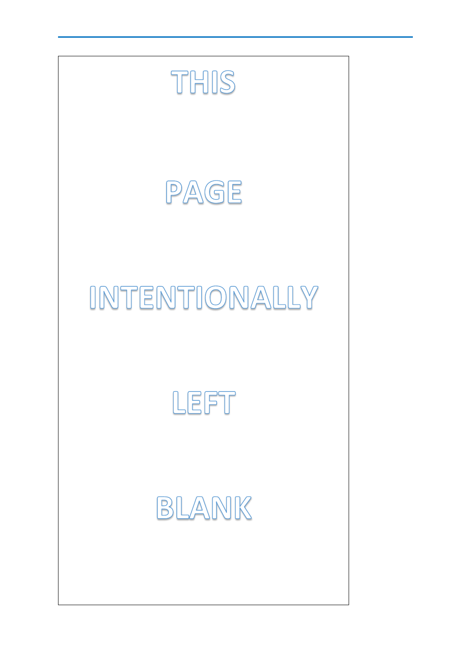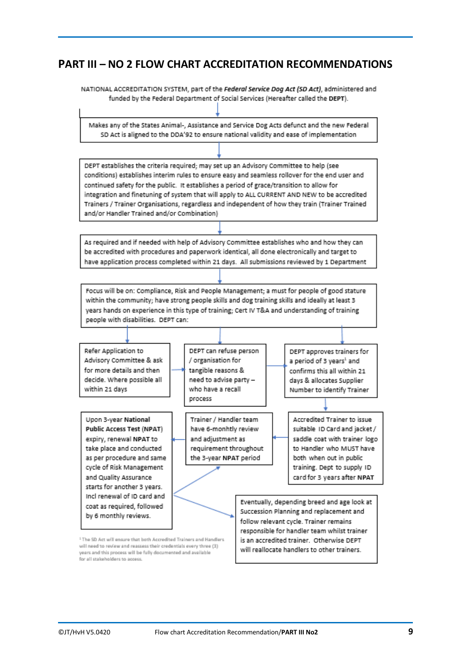### <span id="page-8-0"></span>**PART III – NO 2 FLOW CHART ACCREDITATION RECOMMENDATIONS**

NATIONAL ACCREDITATION SYSTEM, part of the Federal Service Dog Act (SD Act), administered and funded by the Federal Department of Social Services (Hereafter called the DEPT).

Makes any of the States Animal-, Assistance and Service Dog Acts defunct and the new Federal SD Act is aligned to the DDA'92 to ensure national validity and ease of implementation

DEPT establishes the criteria required; may set up an Advisory Committee to help (see conditions) establishes interim rules to ensure easy and seamless rollover for the end user and continued safety for the public. It establishes a period of grace/transition to allow for integration and finetuning of system that will apply to ALL CURRENT AND NEW to be accredited Trainers / Trainer Organisations, regardless and independent of how they train (Trainer Trained and/or Handler Trained and/or Combination)

As required and if needed with help of Advisory Committee establishes who and how they can be accredited with procedures and paperwork identical, all done electronically and target to have application process completed within 21 days. All submissions reviewed by 1 Department

Focus will be on: Compliance, Risk and People Management: a must for people of good stature within the community; have strong people skills and dog training skills and ideally at least 3 years hands on experience in this type of training: Cert IV T&A and understanding of training people with disabilities. DEPT can:



will need to review and reassess their credentials every three (3) wears and this process will be fully documented and available .<br>For all stakeholders to access

will reallocate handlers to other trainers.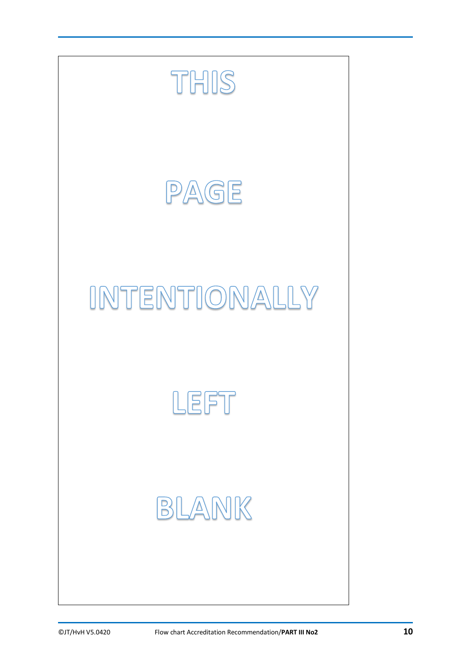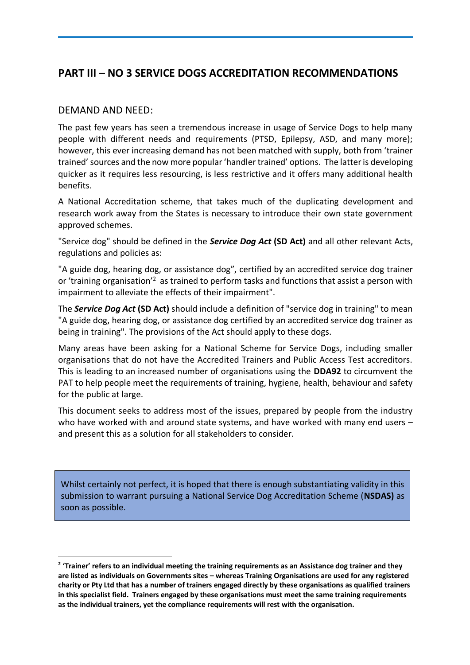## <span id="page-10-0"></span>**PART III – NO 3 SERVICE DOGS ACCREDITATION RECOMMENDATIONS**

#### <span id="page-10-1"></span>DEMAND AND NEED:

The past few years has seen a tremendous increase in usage of Service Dogs to help many people with different needs and requirements (PTSD, Epilepsy, ASD, and many more); however, this ever increasing demand has not been matched with supply, both from 'trainer trained' sources and the now more popular 'handler trained' options. The latter is developing quicker as it requires less resourcing, is less restrictive and it offers many additional health benefits.

A National Accreditation scheme, that takes much of the duplicating development and research work away from the States is necessary to introduce their own state government approved schemes.

"Service dog" should be defined in the *Service Dog Act* **(SD Act)** and all other relevant Acts, regulations and policies as:

"A guide dog, hearing dog, or assistance dog", certified by an accredited service dog trainer or 'training organisation'<sup>2</sup> as trained to perform tasks and functions that assist a person with impairment to alleviate the effects of their impairment".

The *Service Dog Act* **(SD Act)** should include a definition of "service dog in training" to mean "A guide dog, hearing dog, or assistance dog certified by an accredited service dog trainer as being in training". The provisions of the Act should apply to these dogs.

Many areas have been asking for a National Scheme for Service Dogs, including smaller organisations that do not have the Accredited Trainers and Public Access Test accreditors. This is leading to an increased number of organisations using the **DDA92** to circumvent the PAT to help people meet the requirements of training, hygiene, health, behaviour and safety for the public at large.

This document seeks to address most of the issues, prepared by people from the industry who have worked with and around state systems, and have worked with many end users – and present this as a solution for all stakeholders to consider.

Whilst certainly not perfect, it is hoped that there is enough substantiating validity in this submission to warrant pursuing a National Service Dog Accreditation Scheme (**NSDAS)** as soon as possible.

**<sup>2</sup> 'Trainer' refers to an individual meeting the training requirements as an Assistance dog trainer and they are listed as individuals on Governments sites – whereas Training Organisations are used for any registered charity or Pty Ltd that has a number of trainers engaged directly by these organisations as qualified trainers in this specialist field. Trainers engaged by these organisations must meet the same training requirements as the individual trainers, yet the compliance requirements will rest with the organisation.**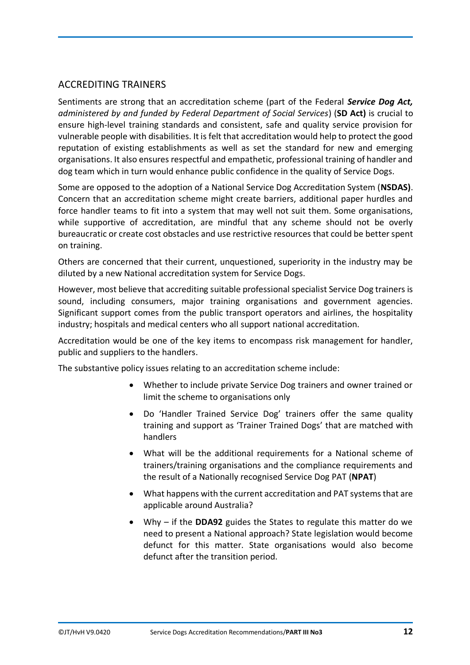#### <span id="page-11-0"></span>ACCREDITING TRAINERS

Sentiments are strong that an accreditation scheme (part of the Federal *Service Dog Act, administered by and funded by Federal Department of Social Services*) (**SD Act)** is crucial to ensure high-level training standards and consistent, safe and quality service provision for vulnerable people with disabilities. It is felt that accreditation would help to protect the good reputation of existing establishments as well as set the standard for new and emerging organisations. It also ensures respectful and empathetic, professional training of handler and dog team which in turn would enhance public confidence in the quality of Service Dogs.

Some are opposed to the adoption of a National Service Dog Accreditation System (**NSDAS)**. Concern that an accreditation scheme might create barriers, additional paper hurdles and force handler teams to fit into a system that may well not suit them. Some organisations, while supportive of accreditation, are mindful that any scheme should not be overly bureaucratic or create cost obstacles and use restrictive resources that could be better spent on training.

Others are concerned that their current, unquestioned, superiority in the industry may be diluted by a new National accreditation system for Service Dogs.

However, most believe that accrediting suitable professional specialist Service Dog trainers is sound, including consumers, major training organisations and government agencies. Significant support comes from the public transport operators and airlines, the hospitality industry; hospitals and medical centers who all support national accreditation.

Accreditation would be one of the key items to encompass risk management for handler, public and suppliers to the handlers.

The substantive policy issues relating to an accreditation scheme include:

- Whether to include private Service Dog trainers and owner trained or limit the scheme to organisations only
- Do 'Handler Trained Service Dog' trainers offer the same quality training and support as 'Trainer Trained Dogs' that are matched with handlers
- What will be the additional requirements for a National scheme of trainers/training organisations and the compliance requirements and the result of a Nationally recognised Service Dog PAT (**NPAT**)
- What happens with the current accreditation and PAT systems that are applicable around Australia?
- Why if the **DDA92** guides the States to regulate this matter do we need to present a National approach? State legislation would become defunct for this matter. State organisations would also become defunct after the transition period.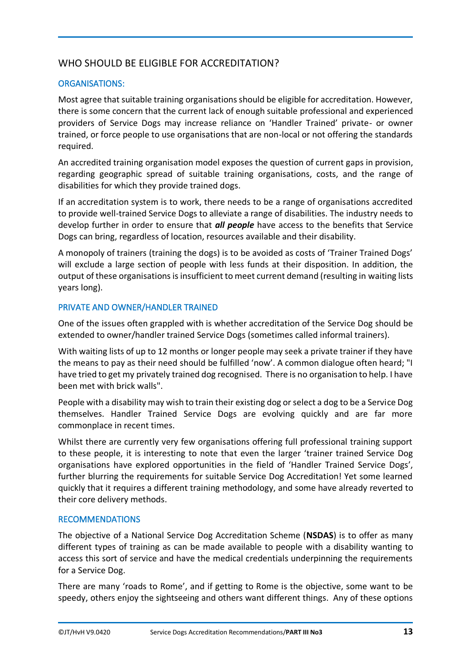### <span id="page-12-0"></span>WHO SHOULD BE FLIGIBLE FOR ACCREDITATION?

#### <span id="page-12-1"></span>ORGANISATIONS:

Most agree that suitable training organisations should be eligible for accreditation. However, there is some concern that the current lack of enough suitable professional and experienced providers of Service Dogs may increase reliance on 'Handler Trained' private- or owner trained, or force people to use organisations that are non-local or not offering the standards required.

An accredited training organisation model exposes the question of current gaps in provision, regarding geographic spread of suitable training organisations, costs, and the range of disabilities for which they provide trained dogs.

If an accreditation system is to work, there needs to be a range of organisations accredited to provide well-trained Service Dogs to alleviate a range of disabilities. The industry needs to develop further in order to ensure that *all people* have access to the benefits that Service Dogs can bring, regardless of location, resources available and their disability.

A monopoly of trainers (training the dogs) is to be avoided as costs of 'Trainer Trained Dogs' will exclude a large section of people with less funds at their disposition. In addition, the output of these organisations is insufficient to meet current demand (resulting in waiting lists years long).

#### <span id="page-12-2"></span>PRIVATE AND OWNER/HANDLER TRAINED

One of the issues often grappled with is whether accreditation of the Service Dog should be extended to owner/handler trained Service Dogs (sometimes called informal trainers).

With waiting lists of up to 12 months or longer people may seek a private trainer if they have the means to pay as their need should be fulfilled 'now'. A common dialogue often heard; "I have tried to get my privately trained dog recognised. There is no organisation to help. I have been met with brick walls".

People with a disability may wish to train their existing dog or select a dog to be a Service Dog themselves. Handler Trained Service Dogs are evolving quickly and are far more commonplace in recent times.

Whilst there are currently very few organisations offering full professional training support to these people, it is interesting to note that even the larger 'trainer trained Service Dog organisations have explored opportunities in the field of 'Handler Trained Service Dogs', further blurring the requirements for suitable Service Dog Accreditation! Yet some learned quickly that it requires a different training methodology, and some have already reverted to their core delivery methods.

#### <span id="page-12-3"></span>RECOMMENDATIONS

The objective of a National Service Dog Accreditation Scheme (**NSDAS**) is to offer as many different types of training as can be made available to people with a disability wanting to access this sort of service and have the medical credentials underpinning the requirements for a Service Dog.

There are many 'roads to Rome', and if getting to Rome is the objective, some want to be speedy, others enjoy the sightseeing and others want different things. Any of these options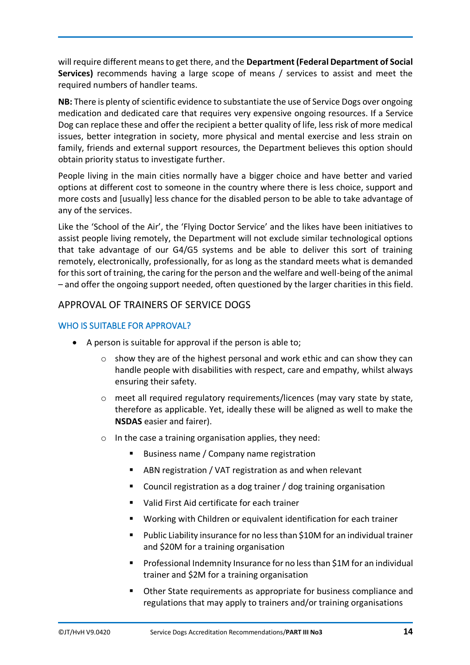will require different means to get there, and the **Department (Federal Department of Social Services)** recommends having a large scope of means / services to assist and meet the required numbers of handler teams.

**NB:** There is plenty of scientific evidence to substantiate the use of Service Dogs over ongoing medication and dedicated care that requires very expensive ongoing resources. If a Service Dog can replace these and offer the recipient a better quality of life, less risk of more medical issues, better integration in society, more physical and mental exercise and less strain on family, friends and external support resources, the Department believes this option should obtain priority status to investigate further.

People living in the main cities normally have a bigger choice and have better and varied options at different cost to someone in the country where there is less choice, support and more costs and [usually] less chance for the disabled person to be able to take advantage of any of the services.

Like the 'School of the Air', the 'Flying Doctor Service' and the likes have been initiatives to assist people living remotely, the Department will not exclude similar technological options that take advantage of our G4/G5 systems and be able to deliver this sort of training remotely, electronically, professionally, for as long as the standard meets what is demanded for this sort of training, the caring for the person and the welfare and well-being of the animal – and offer the ongoing support needed, often questioned by the larger charities in this field.

#### <span id="page-13-0"></span>APPROVAL OF TRAINERS OF SERVICE DOGS

#### <span id="page-13-1"></span>WHO IS SUITABLE FOR APPROVAL?

- A person is suitable for approval if the person is able to;
	- $\circ$  show they are of the highest personal and work ethic and can show they can handle people with disabilities with respect, care and empathy, whilst always ensuring their safety.
	- $\circ$  meet all required regulatory requirements/licences (may vary state by state, therefore as applicable. Yet, ideally these will be aligned as well to make the **NSDAS** easier and fairer).
	- o In the case a training organisation applies, they need:
		- Business name / Company name registration
		- ABN registration / VAT registration as and when relevant
		- Council registration as a dog trainer / dog training organisation
		- Valid First Aid certificate for each trainer
		- Working with Children or equivalent identification for each trainer
		- Public Liability insurance for no less than \$10M for an individual trainer and \$20M for a training organisation
		- Professional Indemnity Insurance for no less than \$1M for an individual trainer and \$2M for a training organisation
		- Other State requirements as appropriate for business compliance and regulations that may apply to trainers and/or training organisations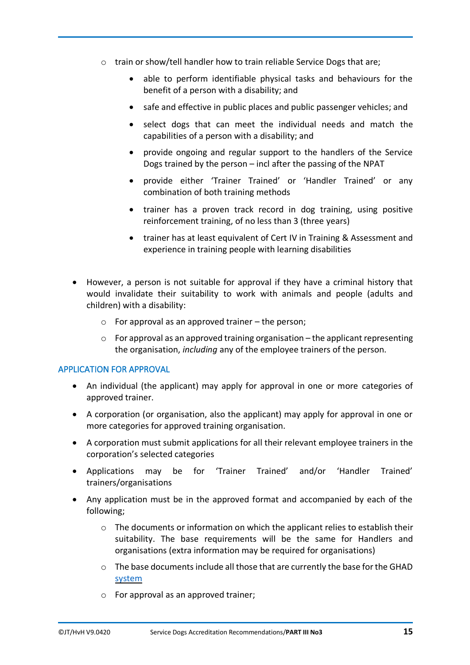- $\circ$  train or show/tell handler how to train reliable Service Dogs that are;
	- able to perform identifiable physical tasks and behaviours for the benefit of a person with a disability; and
	- safe and effective in public places and public passenger vehicles; and
	- select dogs that can meet the individual needs and match the capabilities of a person with a disability; and
	- provide ongoing and regular support to the handlers of the Service Dogs trained by the person – incl after the passing of the NPAT
	- provide either 'Trainer Trained' or 'Handler Trained' or any combination of both training methods
	- trainer has a proven track record in dog training, using positive reinforcement training, of no less than 3 (three years)
	- trainer has at least equivalent of Cert IV in Training & Assessment and experience in training people with learning disabilities
- However, a person is not suitable for approval if they have a criminal history that would invalidate their suitability to work with animals and people (adults and children) with a disability:
	- $\circ$  For approval as an approved trainer the person;
	- o For approval as an approved training organisation the applicant representing the organisation, *including* any of the employee trainers of the person.

#### <span id="page-14-0"></span>APPLICATION FOR APPROVAL

- An individual (the applicant) may apply for approval in one or more categories of approved trainer.
- A corporation (or organisation, also the applicant) may apply for approval in one or more categories for approved training organisation.
- A corporation must submit applications for all their relevant employee trainers in the corporation's selected categories
- Applications may be for 'Trainer Trained' and/or 'Handler Trained' trainers/organisations
- Any application must be in the approved format and accompanied by each of the following;
	- $\circ$  The documents or information on which the applicant relies to establish their suitability. The base requirements will be the same for Handlers and organisations (extra information may be required for organisations)
	- $\circ$  The base documents include all those that are currently the base for the GHAD [system](https://www.communities.qld.gov.au/industry-partners/guide-hearing-assistance-dogs/trainers)
	- o For approval as an approved trainer;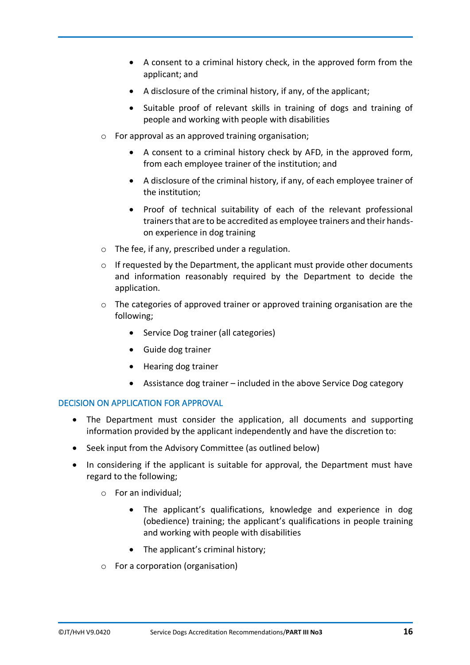- A consent to a criminal history check, in the approved form from the applicant; and
- A disclosure of the criminal history, if any, of the applicant;
- Suitable proof of relevant skills in training of dogs and training of people and working with people with disabilities
- $\circ$  For approval as an approved training organisation:
	- A consent to a criminal history check by AFD, in the approved form, from each employee trainer of the institution; and
	- A disclosure of the criminal history, if any, of each employee trainer of the institution;
	- Proof of technical suitability of each of the relevant professional trainers that are to be accredited as employee trainers and their handson experience in dog training
- o The fee, if any, prescribed under a regulation.
- $\circ$  If requested by the Department, the applicant must provide other documents and information reasonably required by the Department to decide the application.
- $\circ$  The categories of approved trainer or approved training organisation are the following;
	- Service Dog trainer (all categories)
	- Guide dog trainer
	- Hearing dog trainer
	- Assistance dog trainer included in the above Service Dog category

#### <span id="page-15-0"></span>DECISION ON APPLICATION FOR APPROVAL

- The Department must consider the application, all documents and supporting information provided by the applicant independently and have the discretion to:
- Seek input from the Advisory Committee (as outlined below)
- In considering if the applicant is suitable for approval, the Department must have regard to the following;
	- o For an individual;
		- The applicant's qualifications, knowledge and experience in dog (obedience) training; the applicant's qualifications in people training and working with people with disabilities
		- The applicant's criminal history;
	- o For a corporation (organisation)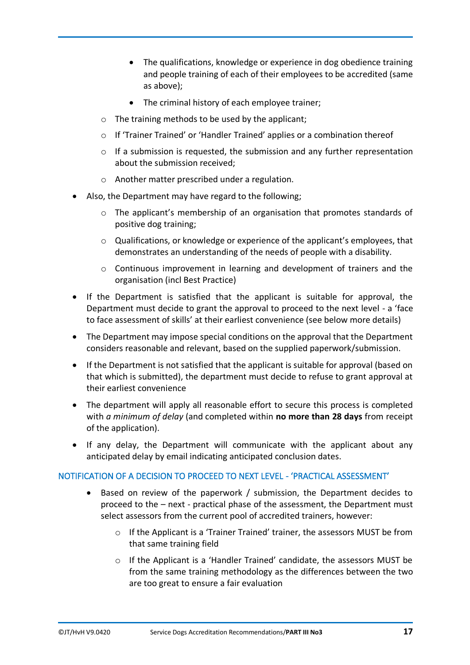- The qualifications, knowledge or experience in dog obedience training and people training of each of their employees to be accredited (same as above);
- The criminal history of each employee trainer;
- o The training methods to be used by the applicant;
- $\circ$  If 'Trainer Trained' or 'Handler Trained' applies or a combination thereof
- o If a submission is requested, the submission and any further representation about the submission received;
- o Another matter prescribed under a regulation.
- Also, the Department may have regard to the following;
	- $\circ$  The applicant's membership of an organisation that promotes standards of positive dog training;
	- $\circ$  Qualifications, or knowledge or experience of the applicant's employees, that demonstrates an understanding of the needs of people with a disability.
	- $\circ$  Continuous improvement in learning and development of trainers and the organisation (incl Best Practice)
- If the Department is satisfied that the applicant is suitable for approval, the Department must decide to grant the approval to proceed to the next level - a 'face to face assessment of skills' at their earliest convenience (see below more details)
- The Department may impose special conditions on the approval that the Department considers reasonable and relevant, based on the supplied paperwork/submission.
- If the Department is not satisfied that the applicant is suitable for approval (based on that which is submitted), the department must decide to refuse to grant approval at their earliest convenience
- The department will apply all reasonable effort to secure this process is completed with *a minimum of delay* (and completed within **no more than 28 days** from receipt of the application).
- If any delay, the Department will communicate with the applicant about any anticipated delay by email indicating anticipated conclusion dates.

#### <span id="page-16-0"></span>NOTIFICATION OF A DECISION TO PROCEED TO NEXT LEVEL - 'PRACTICAL ASSESSMENT'

- Based on review of the paperwork / submission, the Department decides to proceed to the – next - practical phase of the assessment, the Department must select assessors from the current pool of accredited trainers, however:
	- o If the Applicant is a 'Trainer Trained' trainer, the assessors MUST be from that same training field
	- $\circ$  If the Applicant is a 'Handler Trained' candidate, the assessors MUST be from the same training methodology as the differences between the two are too great to ensure a fair evaluation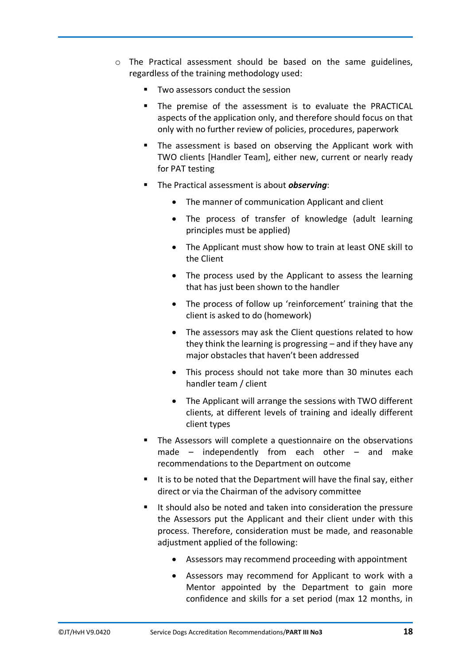- o The Practical assessment should be based on the same guidelines, regardless of the training methodology used:
	- Two assessors conduct the session
	- The premise of the assessment is to evaluate the PRACTICAL aspects of the application only, and therefore should focus on that only with no further review of policies, procedures, paperwork
	- The assessment is based on observing the Applicant work with TWO clients [Handler Team], either new, current or nearly ready for PAT testing
	- The Practical assessment is about *observing*:
		- The manner of communication Applicant and client
		- The process of transfer of knowledge (adult learning principles must be applied)
		- The Applicant must show how to train at least ONE skill to the Client
		- The process used by the Applicant to assess the learning that has just been shown to the handler
		- The process of follow up 'reinforcement' training that the client is asked to do (homework)
		- The assessors may ask the Client questions related to how they think the learning is progressing – and if they have any major obstacles that haven't been addressed
		- This process should not take more than 30 minutes each handler team / client
		- The Applicant will arrange the sessions with TWO different clients, at different levels of training and ideally different client types
	- The Assessors will complete a questionnaire on the observations made – independently from each other – and make recommendations to the Department on outcome
	- It is to be noted that the Department will have the final say, either direct or via the Chairman of the advisory committee
	- It should also be noted and taken into consideration the pressure the Assessors put the Applicant and their client under with this process. Therefore, consideration must be made, and reasonable adjustment applied of the following:
		- Assessors may recommend proceeding with appointment
		- Assessors may recommend for Applicant to work with a Mentor appointed by the Department to gain more confidence and skills for a set period (max 12 months, in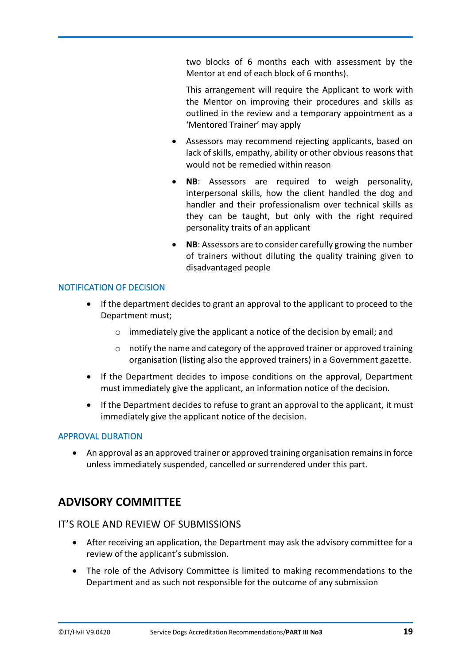two blocks of 6 months each with assessment by the Mentor at end of each block of 6 months).

This arrangement will require the Applicant to work with the Mentor on improving their procedures and skills as outlined in the review and a temporary appointment as a 'Mentored Trainer' may apply

- Assessors may recommend rejecting applicants, based on lack of skills, empathy, ability or other obvious reasons that would not be remedied within reason
- **NB**: Assessors are required to weigh personality, interpersonal skills, how the client handled the dog and handler and their professionalism over technical skills as they can be taught, but only with the right required personality traits of an applicant
- **NB**: Assessors are to consider carefully growing the number of trainers without diluting the quality training given to disadvantaged people

#### <span id="page-18-0"></span>NOTIFICATION OF DECISION

- If the department decides to grant an approval to the applicant to proceed to the Department must;
	- o immediately give the applicant a notice of the decision by email; and
	- o notify the name and category of the approved trainer or approved training organisation (listing also the approved trainers) in a Government gazette.
- If the Department decides to impose conditions on the approval, Department must immediately give the applicant, an information notice of the decision.
- If the Department decides to refuse to grant an approval to the applicant, it must immediately give the applicant notice of the decision.

#### <span id="page-18-1"></span>APPROVAL DURATION

• An approval as an approved trainer or approved training organisation remains in force unless immediately suspended, cancelled or surrendered under this part.

## <span id="page-18-2"></span>**ADVISORY COMMITTEE**

#### <span id="page-18-3"></span>IT'S ROLE AND REVIEW OF SUBMISSIONS

- After receiving an application, the Department may ask the advisory committee for a review of the applicant's submission.
- The role of the Advisory Committee is limited to making recommendations to the Department and as such not responsible for the outcome of any submission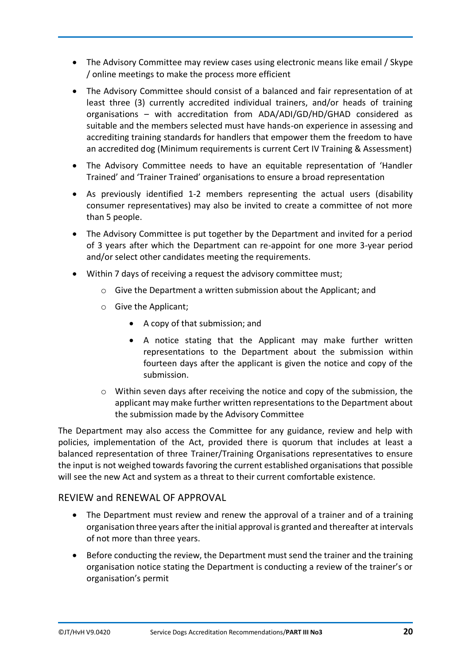- The Advisory Committee may review cases using electronic means like email / Skype / online meetings to make the process more efficient
- The Advisory Committee should consist of a balanced and fair representation of at least three (3) currently accredited individual trainers, and/or heads of training organisations – with accreditation from ADA/ADI/GD/HD/GHAD considered as suitable and the members selected must have hands-on experience in assessing and accrediting training standards for handlers that empower them the freedom to have an accredited dog (Minimum requirements is current Cert IV Training & Assessment)
- The Advisory Committee needs to have an equitable representation of 'Handler Trained' and 'Trainer Trained' organisations to ensure a broad representation
- As previously identified 1-2 members representing the actual users (disability consumer representatives) may also be invited to create a committee of not more than 5 people.
- The Advisory Committee is put together by the Department and invited for a period of 3 years after which the Department can re-appoint for one more 3-year period and/or select other candidates meeting the requirements.
- Within 7 days of receiving a request the advisory committee must;
	- $\circ$  Give the Department a written submission about the Applicant: and
	- o Give the Applicant;
		- A copy of that submission; and
		- A notice stating that the Applicant may make further written representations to the Department about the submission within fourteen days after the applicant is given the notice and copy of the submission.
	- o Within seven days after receiving the notice and copy of the submission, the applicant may make further written representations to the Department about the submission made by the Advisory Committee

The Department may also access the Committee for any guidance, review and help with policies, implementation of the Act, provided there is quorum that includes at least a balanced representation of three Trainer/Training Organisations representatives to ensure the input is not weighed towards favoring the current established organisations that possible will see the new Act and system as a threat to their current comfortable existence.

#### <span id="page-19-0"></span>REVIEW and RENEWAL OF APPROVAL

- The Department must review and renew the approval of a trainer and of a training organisation three years after the initial approval is granted and thereafter at intervals of not more than three years.
- Before conducting the review, the Department must send the trainer and the training organisation notice stating the Department is conducting a review of the trainer's or organisation's permit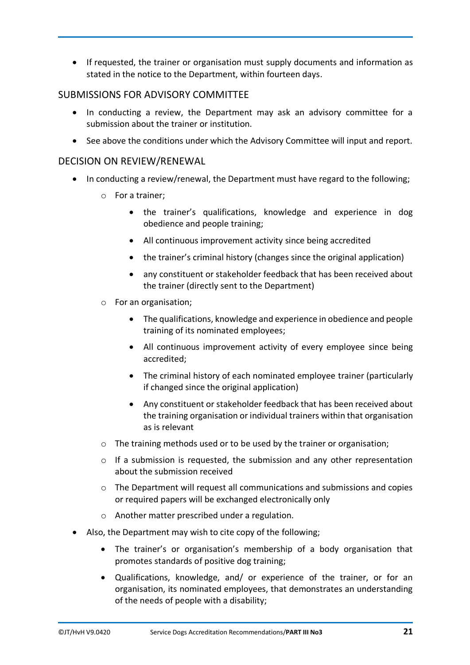• If requested, the trainer or organisation must supply documents and information as stated in the notice to the Department, within fourteen days.

#### <span id="page-20-0"></span>SUBMISSIONS FOR ADVISORY COMMITTEE

- In conducting a review, the Department may ask an advisory committee for a submission about the trainer or institution.
- See above the conditions under which the Advisory Committee will input and report.

#### <span id="page-20-1"></span>DECISION ON REVIEW/RENEWAL

- In conducting a review/renewal, the Department must have regard to the following;
	- o For a trainer;
		- the trainer's qualifications, knowledge and experience in dog obedience and people training;
		- All continuous improvement activity since being accredited
		- the trainer's criminal history (changes since the original application)
		- any constituent or stakeholder feedback that has been received about the trainer (directly sent to the Department)
	- o For an organisation;
		- The qualifications, knowledge and experience in obedience and people training of its nominated employees;
		- All continuous improvement activity of every employee since being accredited;
		- The criminal history of each nominated employee trainer (particularly if changed since the original application)
		- Any constituent or stakeholder feedback that has been received about the training organisation or individual trainers within that organisation as is relevant
	- $\circ$  The training methods used or to be used by the trainer or organisation;
	- o If a submission is requested, the submission and any other representation about the submission received
	- o The Department will request all communications and submissions and copies or required papers will be exchanged electronically only
	- o Another matter prescribed under a regulation.
- Also, the Department may wish to cite copy of the following;
	- The trainer's or organisation's membership of a body organisation that promotes standards of positive dog training;
	- Qualifications, knowledge, and/ or experience of the trainer, or for an organisation, its nominated employees, that demonstrates an understanding of the needs of people with a disability;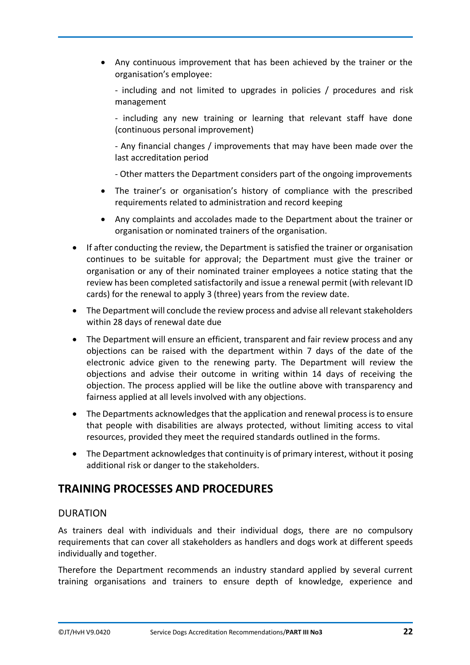• Any continuous improvement that has been achieved by the trainer or the organisation's employee:

- including and not limited to upgrades in policies / procedures and risk management

- including any new training or learning that relevant staff have done (continuous personal improvement)

- Any financial changes / improvements that may have been made over the last accreditation period

- Other matters the Department considers part of the ongoing improvements

- The trainer's or organisation's history of compliance with the prescribed requirements related to administration and record keeping
- Any complaints and accolades made to the Department about the trainer or organisation or nominated trainers of the organisation.
- If after conducting the review, the Department is satisfied the trainer or organisation continues to be suitable for approval; the Department must give the trainer or organisation or any of their nominated trainer employees a notice stating that the review has been completed satisfactorily and issue a renewal permit (with relevant ID cards) for the renewal to apply 3 (three) years from the review date.
- The Department will conclude the review process and advise all relevant stakeholders within 28 days of renewal date due
- The Department will ensure an efficient, transparent and fair review process and any objections can be raised with the department within 7 days of the date of the electronic advice given to the renewing party. The Department will review the objections and advise their outcome in writing within 14 days of receiving the objection. The process applied will be like the outline above with transparency and fairness applied at all levels involved with any objections.
- The Departments acknowledges that the application and renewal process is to ensure that people with disabilities are always protected, without limiting access to vital resources, provided they meet the required standards outlined in the forms.
- The Department acknowledges that continuity is of primary interest, without it posing additional risk or danger to the stakeholders.

## <span id="page-21-0"></span>**TRAINING PROCESSES AND PROCEDURES**

#### <span id="page-21-1"></span>DURATION

As trainers deal with individuals and their individual dogs, there are no compulsory requirements that can cover all stakeholders as handlers and dogs work at different speeds individually and together.

Therefore the Department recommends an industry standard applied by several current training organisations and trainers to ensure depth of knowledge, experience and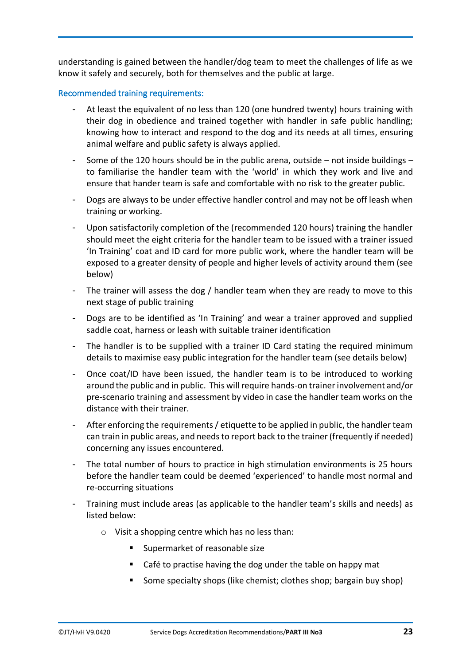understanding is gained between the handler/dog team to meet the challenges of life as we know it safely and securely, both for themselves and the public at large.

#### <span id="page-22-0"></span>Recommended training requirements:

- At least the equivalent of no less than 120 (one hundred twenty) hours training with their dog in obedience and trained together with handler in safe public handling; knowing how to interact and respond to the dog and its needs at all times, ensuring animal welfare and public safety is always applied.
- Some of the 120 hours should be in the public arena, outside not inside buildings to familiarise the handler team with the 'world' in which they work and live and ensure that hander team is safe and comfortable with no risk to the greater public.
- Dogs are always to be under effective handler control and may not be off leash when training or working.
- Upon satisfactorily completion of the (recommended 120 hours) training the handler should meet the eight criteria for the handler team to be issued with a trainer issued 'In Training' coat and ID card for more public work, where the handler team will be exposed to a greater density of people and higher levels of activity around them (see below)
- The trainer will assess the dog / handler team when they are ready to move to this next stage of public training
- Dogs are to be identified as 'In Training' and wear a trainer approved and supplied saddle coat, harness or leash with suitable trainer identification
- The handler is to be supplied with a trainer ID Card stating the required minimum details to maximise easy public integration for the handler team (see details below)
- Once coat/ID have been issued, the handler team is to be introduced to working around the public and in public. This will require hands-on trainer involvement and/or pre-scenario training and assessment by video in case the handler team works on the distance with their trainer.
- After enforcing the requirements / etiquette to be applied in public, the handler team can train in public areas, and needs to report back to the trainer (frequently if needed) concerning any issues encountered.
- The total number of hours to practice in high stimulation environments is 25 hours before the handler team could be deemed 'experienced' to handle most normal and re-occurring situations
- Training must include areas (as applicable to the handler team's skills and needs) as listed below:
	- $\circ$  Visit a shopping centre which has no less than:
		- Supermarket of reasonable size
		- Café to practise having the dog under the table on happy mat
		- Some specialty shops (like chemist; clothes shop; bargain buy shop)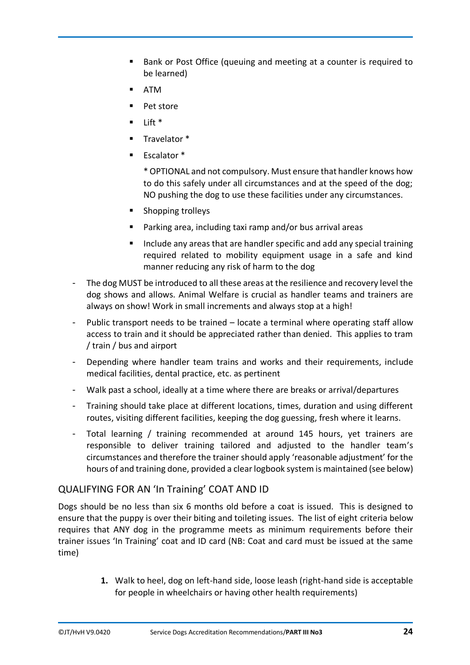- Bank or Post Office (queuing and meeting at a counter is required to be learned)
- **ATM**
- Pet store
- $\mathsf{Lifft}$  \*
- Travelator \*
- Escalator \*

\* OPTIONAL and not compulsory. Must ensure that handler knows how to do this safely under all circumstances and at the speed of the dog; NO pushing the dog to use these facilities under any circumstances.

- Shopping trolleys
- Parking area, including taxi ramp and/or bus arrival areas
- Include any areas that are handler specific and add any special training required related to mobility equipment usage in a safe and kind manner reducing any risk of harm to the dog
- The dog MUST be introduced to all these areas at the resilience and recovery level the dog shows and allows. Animal Welfare is crucial as handler teams and trainers are always on show! Work in small increments and always stop at a high!
- Public transport needs to be trained locate a terminal where operating staff allow access to train and it should be appreciated rather than denied. This applies to tram / train / bus and airport
- Depending where handler team trains and works and their requirements, include medical facilities, dental practice, etc. as pertinent
- Walk past a school, ideally at a time where there are breaks or arrival/departures
- Training should take place at different locations, times, duration and using different routes, visiting different facilities, keeping the dog guessing, fresh where it learns.
- Total learning / training recommended at around 145 hours, yet trainers are responsible to deliver training tailored and adjusted to the handler team's circumstances and therefore the trainer should apply 'reasonable adjustment' for the hours of and training done, provided a clear logbook system is maintained (see below)

#### <span id="page-23-0"></span>QUALIFYING FOR AN 'In Training' COAT AND ID

Dogs should be no less than six 6 months old before a coat is issued. This is designed to ensure that the puppy is over their biting and toileting issues. The list of eight criteria below requires that ANY dog in the programme meets as minimum requirements before their trainer issues 'In Training' coat and ID card (NB: Coat and card must be issued at the same time)

> **1.** Walk to heel, dog on left-hand side, loose leash (right-hand side is acceptable for people in wheelchairs or having other health requirements)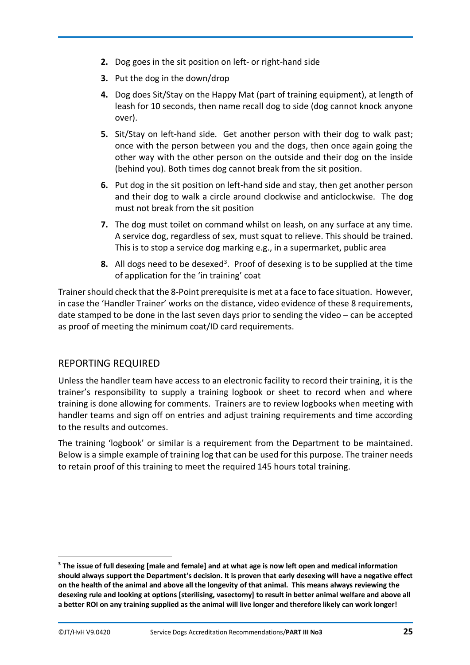- **2.** Dog goes in the sit position on left- or right-hand side
- **3.** Put the dog in the down/drop
- **4.** Dog does Sit/Stay on the Happy Mat (part of training equipment), at length of leash for 10 seconds, then name recall dog to side (dog cannot knock anyone over).
- **5.** Sit/Stay on left-hand side. Get another person with their dog to walk past; once with the person between you and the dogs, then once again going the other way with the other person on the outside and their dog on the inside (behind you). Both times dog cannot break from the sit position.
- **6.** Put dog in the sit position on left-hand side and stay, then get another person and their dog to walk a circle around clockwise and anticlockwise. The dog must not break from the sit position
- **7.** The dog must toilet on command whilst on leash, on any surface at any time. A service dog, regardless of sex, must squat to relieve. This should be trained. This is to stop a service dog marking e.g., in a supermarket, public area
- **8.** All dogs need to be desexed<sup>3</sup>. Proof of desexing is to be supplied at the time of application for the 'in training' coat

Trainer should check that the 8-Point prerequisite is met at a face to face situation. However, in case the 'Handler Trainer' works on the distance, video evidence of these 8 requirements, date stamped to be done in the last seven days prior to sending the video – can be accepted as proof of meeting the minimum coat/ID card requirements.

#### <span id="page-24-0"></span>REPORTING REQUIRED

Unless the handler team have access to an electronic facility to record their training, it is the trainer's responsibility to supply a training logbook or sheet to record when and where training is done allowing for comments. Trainers are to review logbooks when meeting with handler teams and sign off on entries and adjust training requirements and time according to the results and outcomes.

The training 'logbook' or similar is a requirement from the Department to be maintained. Below is a simple example of training log that can be used for this purpose. The trainer needs to retain proof of this training to meet the required 145 hours total training.

**<sup>3</sup> The issue of full desexing [male and female] and at what age is now left open and medical information should always support the Department's decision. It is proven that early desexing will have a negative effect on the health of the animal and above all the longevity of that animal. This means always reviewing the desexing rule and looking at options [sterilising, vasectomy] to result in better animal welfare and above all a better ROI on any training supplied as the animal will live longer and therefore likely can work longer!**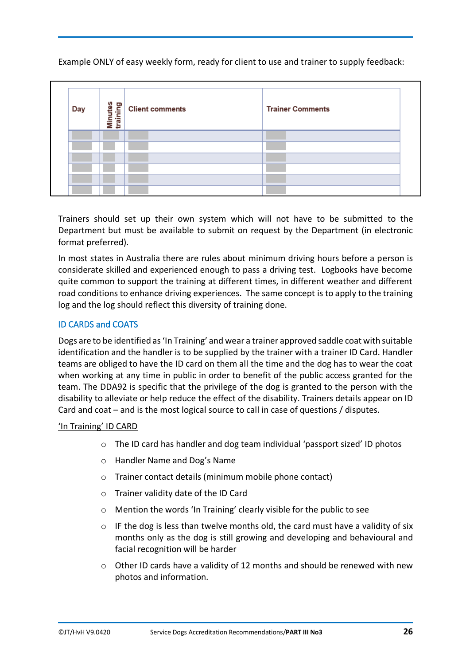Example ONLY of easy weekly form, ready for client to use and trainer to supply feedback:

| Day | Minutes<br>training | <b>Client comments</b> | <b>Trainer Comments</b> |
|-----|---------------------|------------------------|-------------------------|
|     |                     |                        |                         |
|     |                     |                        |                         |
|     |                     |                        |                         |
|     |                     |                        |                         |
|     |                     |                        |                         |
|     |                     |                        |                         |

Trainers should set up their own system which will not have to be submitted to the Department but must be available to submit on request by the Department (in electronic format preferred).

In most states in Australia there are rules about minimum driving hours before a person is considerate skilled and experienced enough to pass a driving test. Logbooks have become quite common to support the training at different times, in different weather and different road conditions to enhance driving experiences. The same concept is to apply to the training log and the log should reflect this diversity of training done.

#### <span id="page-25-0"></span>ID CARDS and COATS

Dogs are to be identified as 'In Training' and wear a trainer approved saddle coat with suitable identification and the handler is to be supplied by the trainer with a trainer ID Card. Handler teams are obliged to have the ID card on them all the time and the dog has to wear the coat when working at any time in public in order to benefit of the public access granted for the team. The DDA92 is specific that the privilege of the dog is granted to the person with the disability to alleviate or help reduce the effect of the disability. Trainers details appear on ID Card and coat – and is the most logical source to call in case of questions / disputes.

#### <span id="page-25-1"></span>'In Training' ID CARD

- o The ID card has handler and dog team individual 'passport sized' ID photos
- o Handler Name and Dog's Name
- o Trainer contact details (minimum mobile phone contact)
- o Trainer validity date of the ID Card
- o Mention the words 'In Training' clearly visible for the public to see
- $\circ$  IF the dog is less than twelve months old, the card must have a validity of six months only as the dog is still growing and developing and behavioural and facial recognition will be harder
- o Other ID cards have a validity of 12 months and should be renewed with new photos and information.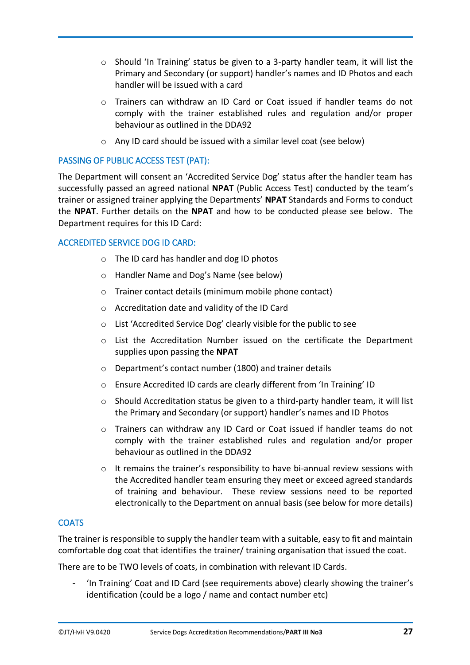- $\circ$  Should 'In Training' status be given to a 3-party handler team, it will list the Primary and Secondary (or support) handler's names and ID Photos and each handler will be issued with a card
- o Trainers can withdraw an ID Card or Coat issued if handler teams do not comply with the trainer established rules and regulation and/or proper behaviour as outlined in the DDA92
- o Any ID card should be issued with a similar level coat (see below)

#### <span id="page-26-0"></span>PASSING OF PUBLIC ACCESS TEST (PAT):

The Department will consent an 'Accredited Service Dog' status after the handler team has successfully passed an agreed national **NPAT** (Public Access Test) conducted by the team's trainer or assigned trainer applying the Departments' **NPAT** Standards and Forms to conduct the **NPAT**. Further details on the **NPAT** and how to be conducted please see below. The Department requires for this ID Card:

#### <span id="page-26-1"></span>ACCREDITED SERVICE DOG ID CARD:

- o The ID card has handler and dog ID photos
- o Handler Name and Dog's Name (see below)
- o Trainer contact details (minimum mobile phone contact)
- o Accreditation date and validity of the ID Card
- o List 'Accredited Service Dog' clearly visible for the public to see
- o List the Accreditation Number issued on the certificate the Department supplies upon passing the **NPAT**
- o Department's contact number (1800) and trainer details
- o Ensure Accredited ID cards are clearly different from 'In Training' ID
- $\circ$  Should Accreditation status be given to a third-party handler team, it will list the Primary and Secondary (or support) handler's names and ID Photos
- o Trainers can withdraw any ID Card or Coat issued if handler teams do not comply with the trainer established rules and regulation and/or proper behaviour as outlined in the DDA92
- o It remains the trainer's responsibility to have bi-annual review sessions with the Accredited handler team ensuring they meet or exceed agreed standards of training and behaviour. These review sessions need to be reported electronically to the Department on annual basis (see below for more details)

#### <span id="page-26-2"></span>**COATS**

The trainer is responsible to supply the handler team with a suitable, easy to fit and maintain comfortable dog coat that identifies the trainer/ training organisation that issued the coat.

There are to be TWO levels of coats, in combination with relevant ID Cards.

- 'In Training' Coat and ID Card (see requirements above) clearly showing the trainer's identification (could be a logo / name and contact number etc)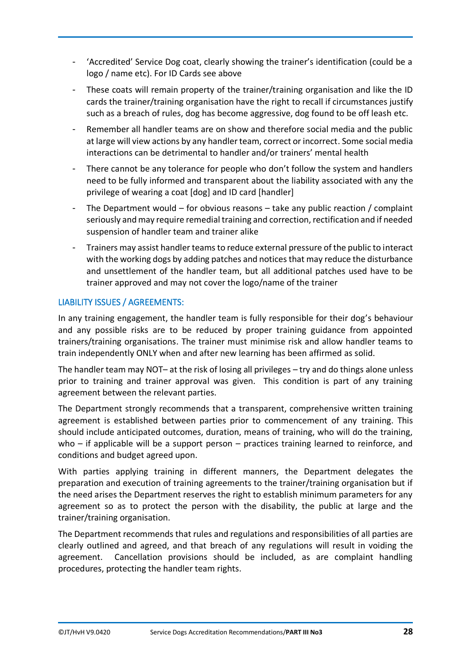- 'Accredited' Service Dog coat, clearly showing the trainer's identification (could be a logo / name etc). For ID Cards see above
- These coats will remain property of the trainer/training organisation and like the ID cards the trainer/training organisation have the right to recall if circumstances justify such as a breach of rules, dog has become aggressive, dog found to be off leash etc.
- Remember all handler teams are on show and therefore social media and the public at large will view actions by any handler team, correct or incorrect. Some social media interactions can be detrimental to handler and/or trainers' mental health
- There cannot be any tolerance for people who don't follow the system and handlers need to be fully informed and transparent about the liability associated with any the privilege of wearing a coat [dog] and ID card [handler]
- The Department would for obvious reasons take any public reaction / complaint seriously and may require remedial training and correction, rectification and if needed suspension of handler team and trainer alike
- Trainers may assist handler teams to reduce external pressure of the public to interact with the working dogs by adding patches and notices that may reduce the disturbance and unsettlement of the handler team, but all additional patches used have to be trainer approved and may not cover the logo/name of the trainer

#### <span id="page-27-0"></span>LIABILITY ISSUES / AGREEMENTS:

In any training engagement, the handler team is fully responsible for their dog's behaviour and any possible risks are to be reduced by proper training guidance from appointed trainers/training organisations. The trainer must minimise risk and allow handler teams to train independently ONLY when and after new learning has been affirmed as solid.

The handler team may NOT– at the risk of losing all privileges – try and do things alone unless prior to training and trainer approval was given. This condition is part of any training agreement between the relevant parties.

The Department strongly recommends that a transparent, comprehensive written training agreement is established between parties prior to commencement of any training. This should include anticipated outcomes, duration, means of training, who will do the training, who – if applicable will be a support person – practices training learned to reinforce, and conditions and budget agreed upon.

With parties applying training in different manners, the Department delegates the preparation and execution of training agreements to the trainer/training organisation but if the need arises the Department reserves the right to establish minimum parameters for any agreement so as to protect the person with the disability, the public at large and the trainer/training organisation.

The Department recommends that rules and regulations and responsibilities of all parties are clearly outlined and agreed, and that breach of any regulations will result in voiding the agreement. Cancellation provisions should be included, as are complaint handling procedures, protecting the handler team rights.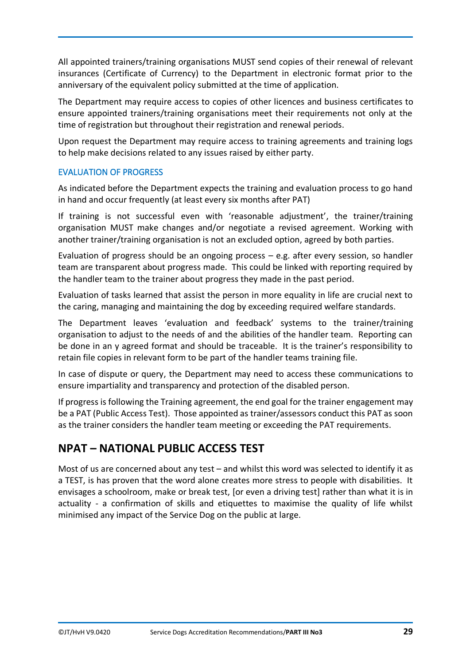All appointed trainers/training organisations MUST send copies of their renewal of relevant insurances (Certificate of Currency) to the Department in electronic format prior to the anniversary of the equivalent policy submitted at the time of application.

The Department may require access to copies of other licences and business certificates to ensure appointed trainers/training organisations meet their requirements not only at the time of registration but throughout their registration and renewal periods.

Upon request the Department may require access to training agreements and training logs to help make decisions related to any issues raised by either party.

#### <span id="page-28-0"></span>EVALUATION OF PROGRESS

As indicated before the Department expects the training and evaluation process to go hand in hand and occur frequently (at least every six months after PAT)

If training is not successful even with 'reasonable adjustment', the trainer/training organisation MUST make changes and/or negotiate a revised agreement. Working with another trainer/training organisation is not an excluded option, agreed by both parties.

Evaluation of progress should be an ongoing process – e.g. after every session, so handler team are transparent about progress made. This could be linked with reporting required by the handler team to the trainer about progress they made in the past period.

Evaluation of tasks learned that assist the person in more equality in life are crucial next to the caring, managing and maintaining the dog by exceeding required welfare standards.

The Department leaves 'evaluation and feedback' systems to the trainer/training organisation to adjust to the needs of and the abilities of the handler team. Reporting can be done in an y agreed format and should be traceable. It is the trainer's responsibility to retain file copies in relevant form to be part of the handler teams training file.

In case of dispute or query, the Department may need to access these communications to ensure impartiality and transparency and protection of the disabled person.

If progress is following the Training agreement, the end goal for the trainer engagement may be a PAT (Public Access Test). Those appointed as trainer/assessors conduct this PAT as soon as the trainer considers the handler team meeting or exceeding the PAT requirements.

## <span id="page-28-1"></span>**NPAT – NATIONAL PUBLIC ACCESS TEST**

Most of us are concerned about any test – and whilst this word was selected to identify it as a TEST, is has proven that the word alone creates more stress to people with disabilities. It envisages a schoolroom, make or break test, [or even a driving test] rather than what it is in actuality - a confirmation of skills and etiquettes to maximise the quality of life whilst minimised any impact of the Service Dog on the public at large.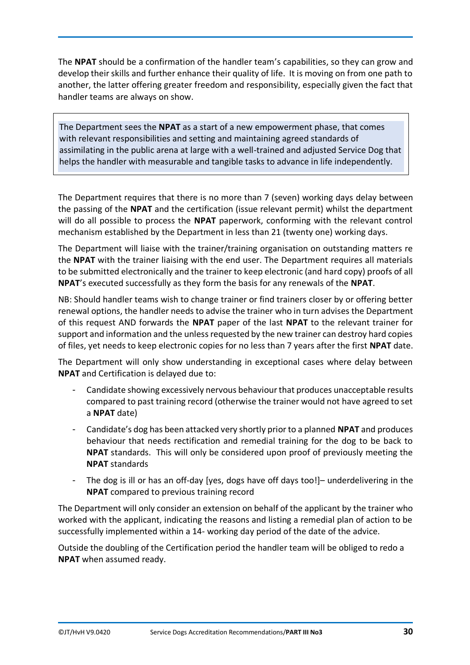The **NPAT** should be a confirmation of the handler team's capabilities, so they can grow and develop their skills and further enhance their quality of life. It is moving on from one path to another, the latter offering greater freedom and responsibility, especially given the fact that handler teams are always on show.

The Department sees the **NPAT** as a start of a new empowerment phase, that comes with relevant responsibilities and setting and maintaining agreed standards of assimilating in the public arena at large with a well-trained and adjusted Service Dog that helps the handler with measurable and tangible tasks to advance in life independently.

The Department requires that there is no more than 7 (seven) working days delay between the passing of the **NPAT** and the certification (issue relevant permit) whilst the department will do all possible to process the **NPAT** paperwork, conforming with the relevant control mechanism established by the Department in less than 21 (twenty one) working days.

The Department will liaise with the trainer/training organisation on outstanding matters re the **NPAT** with the trainer liaising with the end user. The Department requires all materials to be submitted electronically and the trainer to keep electronic (and hard copy) proofs of all **NPAT**'s executed successfully as they form the basis for any renewals of the **NPAT**.

NB: Should handler teams wish to change trainer or find trainers closer by or offering better renewal options, the handler needs to advise the trainer who in turn advises the Department of this request AND forwards the **NPAT** paper of the last **NPAT** to the relevant trainer for support and information and the unless requested by the new trainer can destroy hard copies of files, yet needs to keep electronic copies for no less than 7 years after the first **NPAT** date.

The Department will only show understanding in exceptional cases where delay between **NPAT** and Certification is delayed due to:

- Candidate showing excessively nervous behaviour that produces unacceptable results compared to past training record (otherwise the trainer would not have agreed to set a **NPAT** date)
- Candidate's dog has been attacked very shortly prior to a planned **NPAT** and produces behaviour that needs rectification and remedial training for the dog to be back to **NPAT** standards. This will only be considered upon proof of previously meeting the **NPAT** standards
- The dog is ill or has an off-day [yes, dogs have off days too!] underdelivering in the **NPAT** compared to previous training record

The Department will only consider an extension on behalf of the applicant by the trainer who worked with the applicant, indicating the reasons and listing a remedial plan of action to be successfully implemented within a 14- working day period of the date of the advice.

Outside the doubling of the Certification period the handler team will be obliged to redo a **NPAT** when assumed ready.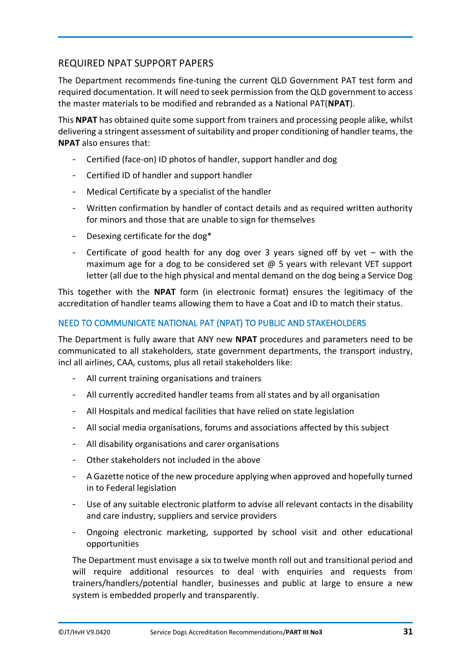#### <span id="page-30-0"></span>REQUIRED NPAT SUPPORT PAPERS

The Department recommends fine-tuning the current QLD Government PAT test form and required documentation. It will need to seek permission from the QLD government to access the master materials to be modified and rebranded as a National PAT(**NPAT**).

This **NPAT** has obtained quite some support from trainers and processing people alike, whilst delivering a stringent assessment of suitability and proper conditioning of handler teams, the **NPAT** also ensures that:

- Certified (face-on) ID photos of handler, support handler and dog
- Certified ID of handler and support handler
- Medical Certificate by a specialist of the handler
- Written confirmation by handler of contact details and as required written authority for minors and those that are unable to sign for themselves
- Desexing certificate for the dog\*
- Certificate of good health for any dog over 3 years signed off by vet with the maximum age for a dog to be considered set  $\omega$  5 years with relevant VET support letter (all due to the high physical and mental demand on the dog being a Service Dog

This together with the **NPAT** form (in electronic format) ensures the legitimacy of the accreditation of handler teams allowing them to have a Coat and ID to match their status.

#### <span id="page-30-1"></span>NEED TO COMMUNICATE NATIONAL PAT (NPAT) TO PUBLIC AND STAKEHOLDERS

The Department is fully aware that ANY new **NPAT** procedures and parameters need to be communicated to all stakeholders, state government departments, the transport industry, incl all airlines, CAA, customs, plus all retail stakeholders like:

- All current training organisations and trainers
- All currently accredited handler teams from all states and by all organisation
- All Hospitals and medical facilities that have relied on state legislation
- All social media organisations, forums and associations affected by this subject
- All disability organisations and carer organisations
- Other stakeholders not included in the above
- A Gazette notice of the new procedure applying when approved and hopefully turned in to Federal legislation
- Use of any suitable electronic platform to advise all relevant contacts in the disability and care industry, suppliers and service providers
- Ongoing electronic marketing, supported by school visit and other educational opportunities

The Department must envisage a six to twelve month roll out and transitional period and will require additional resources to deal with enquiries and requests from trainers/handlers/potential handler, businesses and public at large to ensure a new system is embedded properly and transparently.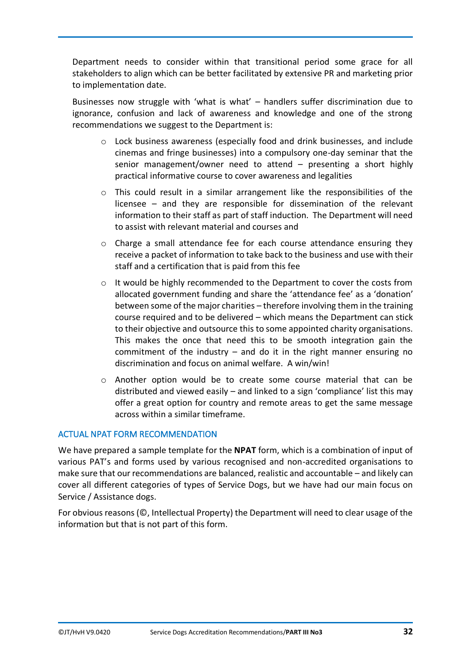Department needs to consider within that transitional period some grace for all stakeholders to align which can be better facilitated by extensive PR and marketing prior to implementation date.

Businesses now struggle with 'what is what' – handlers suffer discrimination due to ignorance, confusion and lack of awareness and knowledge and one of the strong recommendations we suggest to the Department is:

- o Lock business awareness (especially food and drink businesses, and include cinemas and fringe businesses) into a compulsory one-day seminar that the senior management/owner need to attend – presenting a short highly practical informative course to cover awareness and legalities
- $\circ$  This could result in a similar arrangement like the responsibilities of the licensee – and they are responsible for dissemination of the relevant information to their staff as part of staff induction. The Department will need to assist with relevant material and courses and
- o Charge a small attendance fee for each course attendance ensuring they receive a packet of information to take back to the business and use with their staff and a certification that is paid from this fee
- $\circ$  It would be highly recommended to the Department to cover the costs from allocated government funding and share the 'attendance fee' as a 'donation' between some of the major charities – therefore involving them in the training course required and to be delivered – which means the Department can stick to their objective and outsource this to some appointed charity organisations. This makes the once that need this to be smooth integration gain the commitment of the industry  $-$  and do it in the right manner ensuring no discrimination and focus on animal welfare. A win/win!
- o Another option would be to create some course material that can be distributed and viewed easily – and linked to a sign 'compliance' list this may offer a great option for country and remote areas to get the same message across within a similar timeframe.

#### <span id="page-31-0"></span>ACTUAL NPAT FORM RECOMMENDATION

We have prepared a sample template for the **NPAT** form, which is a combination of input of various PAT's and forms used by various recognised and non-accredited organisations to make sure that our recommendations are balanced, realistic and accountable – and likely can cover all different categories of types of Service Dogs, but we have had our main focus on Service / Assistance dogs.

For obvious reasons (©, Intellectual Property) the Department will need to clear usage of the information but that is not part of this form.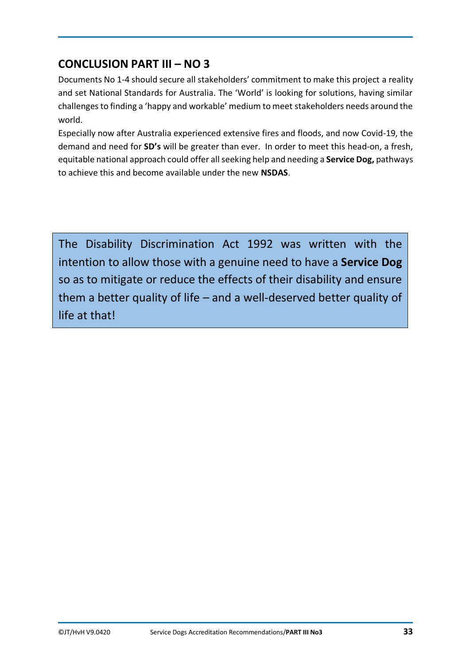## <span id="page-32-0"></span>**CONCLUSION PART III – NO 3**

Documents No 1-4 should secure all stakeholders' commitment to make this project a reality and set National Standards for Australia. The 'World' is looking for solutions, having similar challenges to finding a 'happy and workable' medium to meet stakeholders needs around the world.

Especially now after Australia experienced extensive fires and floods, and now Covid-19, the demand and need for **SD's** will be greater than ever. In order to meet this head-on, a fresh, equitable national approach could offer all seeking help and needing a **Service Dog,** pathways to achieve this and become available under the new **NSDAS**.

The Disability Discrimination Act 1992 was written with the intention to allow those with a genuine need to have a **Service Dog** so as to mitigate or reduce the effects of their disability and ensure them a better quality of life – and a well-deserved better quality of life at that!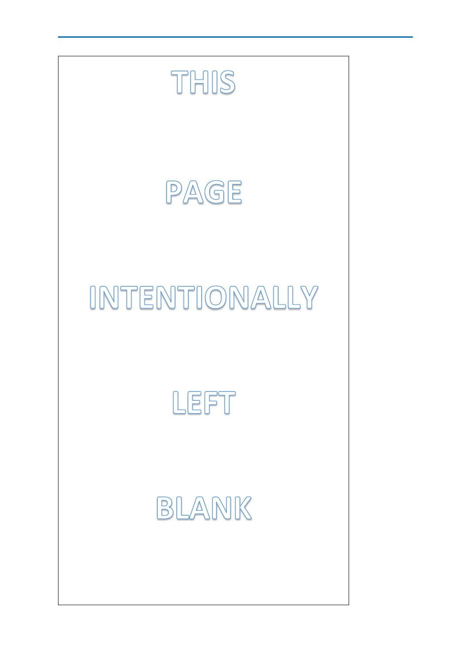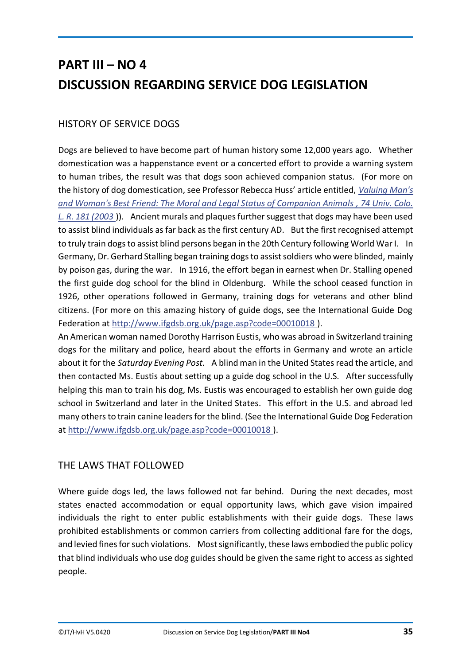## <span id="page-34-0"></span>**PART III – NO 4 DISCUSSION REGARDING SERVICE DOG LEGISLATION**

#### <span id="page-34-1"></span>HISTORY OF SERVICE DOGS

Dogs are believed to have become part of human history some 12,000 years ago. Whether domestication was a happenstance event or a concerted effort to provide a warning system to human tribes, the result was that dogs soon achieved companion status. (For more on the history of dog domestication, see Professor Rebecca Huss' article entitled, *[Valuing Man's](https://www.animallaw.info/articles/arus86marqlr47.htm)  [and Woman's Best Friend: The Moral and Legal Status of Companion Animals](https://www.animallaw.info/articles/arus86marqlr47.htm) , 74 Univ. Colo. [L. R. 181 \(2003](https://www.animallaw.info/articles/arus86marqlr47.htm)* )). Ancient murals and plaques further suggest that dogs may have been used to assist blind individuals as far back as the first century AD. But the first recognised attempt to truly train dogs to assist blind persons began in the 20th Century following World War I. In Germany, Dr. Gerhard Stalling began training dogs to assist soldiers who were blinded, mainly by poison gas, during the war. In 1916, the effort began in earnest when Dr. Stalling opened the first guide dog school for the blind in Oldenburg. While the school ceased function in 1926, other operations followed in Germany, training dogs for veterans and other blind citizens. (For more on this amazing history of guide dogs, see the International Guide Dog Federation at <http://www.ifgdsb.org.uk/page.asp?code=00010018> ).

An American woman named Dorothy Harrison Eustis, who was abroad in Switzerland training dogs for the military and police, heard about the efforts in Germany and wrote an article about it for the *Saturday Evening Post.* A blind man in the United States read the article, and then contacted Ms. Eustis about setting up a guide dog school in the U.S. After successfully helping this man to train his dog, Ms. Eustis was encouraged to establish her own guide dog school in Switzerland and later in the United States. This effort in the U.S. and abroad led many others to train canine leaders for the blind. (See the International Guide Dog Federation at <http://www.ifgdsb.org.uk/page.asp?code=00010018> ).

### <span id="page-34-2"></span>THE LAWS THAT FOLLOWED

Where guide dogs led, the laws followed not far behind. During the next decades, most states enacted accommodation or equal opportunity laws, which gave vision impaired individuals the right to enter public establishments with their guide dogs. These laws prohibited establishments or common carriers from collecting additional fare for the dogs, and levied fines for such violations. Most significantly, these laws embodied the public policy that blind individuals who use dog guides should be given the same right to access as sighted people.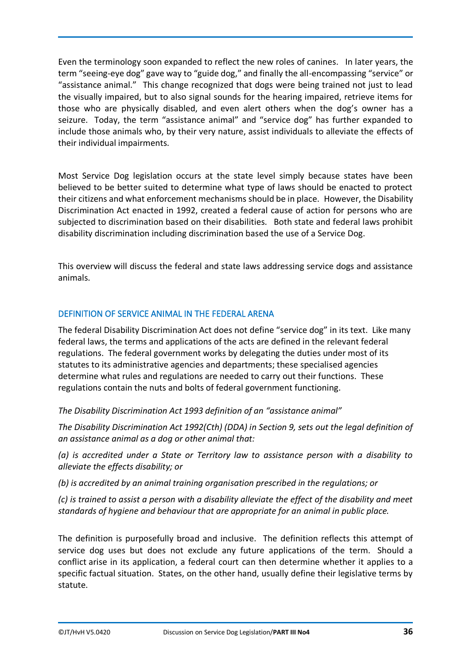Even the terminology soon expanded to reflect the new roles of canines. In later years, the term "seeing-eye dog" gave way to "guide dog," and finally the all-encompassing "service" or "assistance animal." This change recognized that dogs were being trained not just to lead the visually impaired, but to also signal sounds for the hearing impaired, retrieve items for those who are physically disabled, and even alert others when the dog's owner has a seizure. Today, the term "assistance animal" and "service dog" has further expanded to include those animals who, by their very nature, assist individuals to alleviate the effects of their individual impairments.

Most Service Dog legislation occurs at the state level simply because states have been believed to be better suited to determine what type of laws should be enacted to protect their citizens and what enforcement mechanisms should be in place. However, the Disability Discrimination Act enacted in 1992, created a federal cause of action for persons who are subjected to discrimination based on their disabilities. Both state and federal laws prohibit disability discrimination including discrimination based the use of a Service Dog.

This overview will discuss the federal and state laws addressing service dogs and assistance animals.

#### <span id="page-35-0"></span>DEFINITION OF SERVICE ANIMAL IN THE FEDERAL ARENA

The federal Disability Discrimination Act does not define "service dog" in its text. Like many federal laws, the terms and applications of the acts are defined in the relevant federal regulations. The federal government works by delegating the duties under most of its statutes to its administrative agencies and departments; these specialised agencies determine what rules and regulations are needed to carry out their functions. These regulations contain the nuts and bolts of federal government functioning.

*The Disability Discrimination Act 1993 definition of an "assistance animal"*

*The Disability Discrimination Act 1992(Cth) (DDA) in Section 9, sets out the legal definition of an assistance animal as a dog or other animal that:*

*(a) is accredited under a State or Territory law to assistance person with a disability to alleviate the effects disability; or*

*(b) is accredited by an animal training organisation prescribed in the regulations; or*

*(c) is trained to assist a person with a disability alleviate the effect of the disability and meet standards of hygiene and behaviour that are appropriate for an animal in public place.*

The definition is purposefully broad and inclusive. The definition reflects this attempt of service dog uses but does not exclude any future applications of the term. Should a conflict arise in its application, a federal court can then determine whether it applies to a specific factual situation. States, on the other hand, usually define their legislative terms by statute.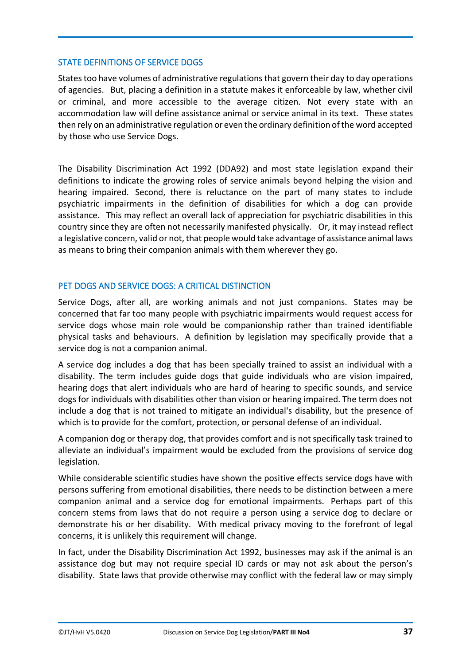#### <span id="page-36-0"></span>STATE DEFINITIONS OF SERVICE DOGS

States too have volumes of administrative regulations that govern their day to day operations of agencies. But, placing a definition in a statute makes it enforceable by law, whether civil or criminal, and more accessible to the average citizen. Not every state with an accommodation law will define assistance animal or service animal in its text. These states then rely on an administrative regulation or even the ordinary definition of the word accepted by those who use Service Dogs.

The Disability Discrimination Act 1992 (DDA92) and most state legislation expand their definitions to indicate the growing roles of service animals beyond helping the vision and hearing impaired. Second, there is reluctance on the part of many states to include psychiatric impairments in the definition of disabilities for which a dog can provide assistance. This may reflect an overall lack of appreciation for psychiatric disabilities in this country since they are often not necessarily manifested physically. Or, it may instead reflect a legislative concern, valid or not, that people would take advantage of assistance animal laws as means to bring their companion animals with them wherever they go.

#### <span id="page-36-1"></span>PET DOGS AND SERVICE DOGS: A CRITICAL DISTINCTION

Service Dogs, after all, are working animals and not just companions. States may be concerned that far too many people with psychiatric impairments would request access for service dogs whose main role would be companionship rather than trained identifiable physical tasks and behaviours. A definition by legislation may specifically provide that a service dog is not a companion animal.

A service dog includes a dog that has been specially trained to assist an individual with a disability. The term includes guide dogs that guide individuals who are vision impaired, hearing dogs that alert individuals who are hard of hearing to specific sounds, and service dogs for individuals with disabilities other than vision or hearing impaired. The term does not include a dog that is not trained to mitigate an individual's disability, but the presence of which is to provide for the comfort, protection, or personal defense of an individual.

A companion dog or therapy dog, that provides comfort and is not specifically task trained to alleviate an individual's impairment would be excluded from the provisions of service dog legislation.

While considerable scientific studies have shown the positive effects service dogs have with persons suffering from emotional disabilities, there needs to be distinction between a mere companion animal and a service dog for emotional impairments. Perhaps part of this concern stems from laws that do not require a person using a service dog to declare or demonstrate his or her disability. With medical privacy moving to the forefront of legal concerns, it is unlikely this requirement will change.

In fact, under the Disability Discrimination Act 1992, businesses may ask if the animal is an assistance dog but may not require special ID cards or may not ask about the person's disability. State laws that provide otherwise may conflict with the federal law or may simply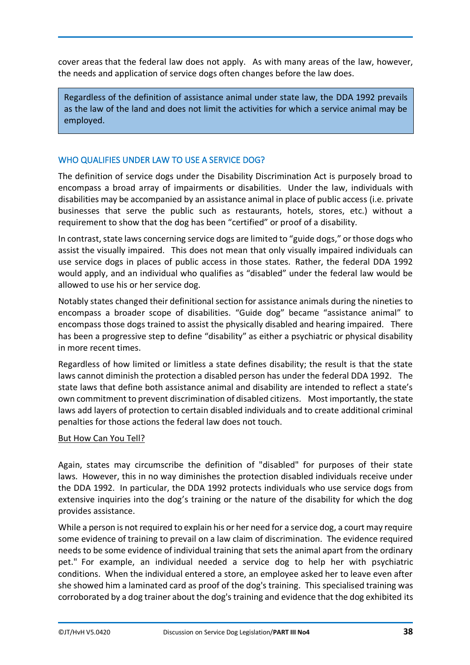cover areas that the federal law does not apply. As with many areas of the law, however, the needs and application of service dogs often changes before the law does.

Regardless of the definition of assistance animal under state law, the DDA 1992 prevails as the law of the land and does not limit the activities for which a service animal may be employed.

#### <span id="page-37-0"></span>WHO QUALIFIES UNDER LAW TO USE A SERVICE DOG?

The definition of service dogs under the Disability Discrimination Act is purposely broad to encompass a broad array of impairments or disabilities. Under the law, individuals with disabilities may be accompanied by an assistance animal in place of public access (i.e. private businesses that serve the public such as restaurants, hotels, stores, etc.) without a requirement to show that the dog has been "certified" or proof of a disability.

In contrast, state laws concerning service dogs are limited to "guide dogs," or those dogs who assist the visually impaired. This does not mean that only visually impaired individuals can use service dogs in places of public access in those states. Rather, the federal DDA 1992 would apply, and an individual who qualifies as "disabled" under the federal law would be allowed to use his or her service dog.

Notably states changed their definitional section for assistance animals during the nineties to encompass a broader scope of disabilities. "Guide dog" became "assistance animal" to encompass those dogs trained to assist the physically disabled and hearing impaired. There has been a progressive step to define "disability" as either a psychiatric or physical disability in more recent times.

Regardless of how limited or limitless a state defines disability; the result is that the state laws cannot diminish the protection a disabled person has under the federal DDA 1992. The state laws that define both assistance animal and disability are intended to reflect a state's own commitment to prevent discrimination of disabled citizens. Most importantly, the state laws add layers of protection to certain disabled individuals and to create additional criminal penalties for those actions the federal law does not touch.

#### <span id="page-37-1"></span>But How Can You Tell?

Again, states may circumscribe the definition of "disabled" for purposes of their state laws. However, this in no way diminishes the protection disabled individuals receive under the DDA 1992. In particular, the DDA 1992 protects individuals who use service dogs from extensive inquiries into the dog's training or the nature of the disability for which the dog provides assistance.

While a person is not required to explain his or her need for a service dog, a court may require some evidence of training to prevail on a law claim of discrimination. The evidence required needs to be some evidence of individual training that sets the animal apart from the ordinary pet." For example, an individual needed a service dog to help her with psychiatric conditions. When the individual entered a store, an employee asked her to leave even after she showed him a laminated card as proof of the dog's training. This specialised training was corroborated by a dog trainer about the dog's training and evidence that the dog exhibited its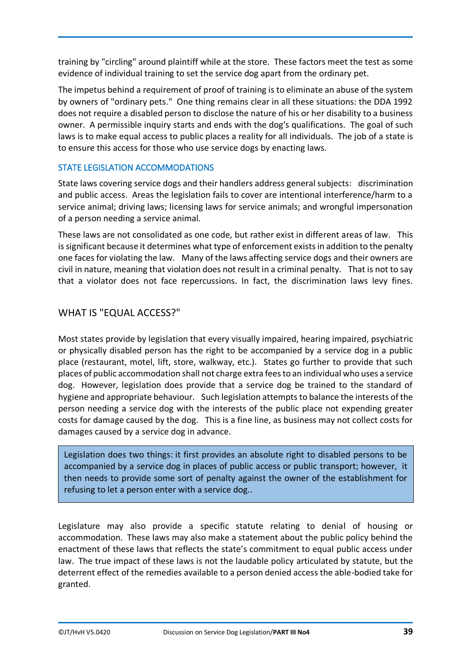training by "circling" around plaintiff while at the store. These factors meet the test as some evidence of individual training to set the service dog apart from the ordinary pet.

The impetus behind a requirement of proof of training is to eliminate an abuse of the system by owners of "ordinary pets." One thing remains clear in all these situations: the DDA 1992 does not require a disabled person to disclose the nature of his or her disability to a business owner. A permissible inquiry starts and ends with the dog's qualifications. The goal of such laws is to make equal access to public places a reality for all individuals. The job of a state is to ensure this access for those who use service dogs by enacting laws.

#### <span id="page-38-0"></span>STATE LEGISLATION ACCOMMODATIONS

State laws covering service dogs and their handlers address general subjects: discrimination and public access. Areas the legislation fails to cover are intentional interference/harm to a service animal; driving laws; licensing laws for service animals; and wrongful impersonation of a person needing a service animal.

These laws are not consolidated as one code, but rather exist in different areas of law. This is significant because it determines what type of enforcement exists in addition to the penalty one faces for violating the law. Many of the laws affecting service dogs and their owners are civil in nature, meaning that violation does not result in a criminal penalty. That is not to say that a violator does not face repercussions. In fact, the discrimination laws levy fines.

#### <span id="page-38-1"></span>WHAT IS "EQUAL ACCESS?"

Most states provide by legislation that every visually impaired, hearing impaired, psychiatric or physically disabled person has the right to be accompanied by a service dog in a public place (restaurant, motel, lift, store, walkway, etc.). States go further to provide that such places of public accommodation shall not charge extra fees to an individual who uses a service dog. However, legislation does provide that a service dog be trained to the standard of hygiene and appropriate behaviour. Such legislation attempts to balance the interests of the person needing a service dog with the interests of the public place not expending greater costs for damage caused by the dog. This is a fine line, as business may not collect costs for damages caused by a service dog in advance.

Legislation does two things: it first provides an absolute right to disabled persons to be accompanied by a service dog in places of public access or public transport; however, it then needs to provide some sort of penalty against the owner of the establishment for refusing to let a person enter with a service dog..

Legislature may also provide a specific statute relating to denial of housing or accommodation. These laws may also make a statement about the public policy behind the enactment of these laws that reflects the state's commitment to equal public access under law. The true impact of these laws is not the laudable policy articulated by statute, but the deterrent effect of the remedies available to a person denied access the able-bodied take for granted.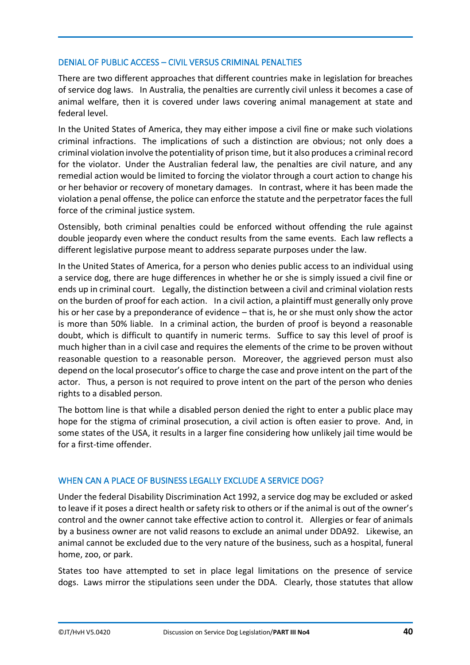#### <span id="page-39-0"></span>DENIAL OF PUBLIC ACCESS – CIVIL VERSUS CRIMINAL PENALTIES

There are two different approaches that different countries make in legislation for breaches of service dog laws. In Australia, the penalties are currently civil unless it becomes a case of animal welfare, then it is covered under laws covering animal management at state and federal level.

In the United States of America, they may either impose a civil fine or make such violations criminal infractions. The implications of such a distinction are obvious; not only does a criminal violation involve the potentiality of prison time, but it also produces a criminal record for the violator. Under the Australian federal law, the penalties are civil nature, and any remedial action would be limited to forcing the violator through a court action to change his or her behavior or recovery of monetary damages. In contrast, where it has been made the violation a penal offense, the police can enforce the statute and the perpetrator faces the full force of the criminal justice system.

Ostensibly, both criminal penalties could be enforced without offending the rule against double jeopardy even where the conduct results from the same events. Each law reflects a different legislative purpose meant to address separate purposes under the law.

In the United States of America, for a person who denies public access to an individual using a service dog, there are huge differences in whether he or she is simply issued a civil fine or ends up in criminal court. Legally, the distinction between a civil and criminal violation rests on the burden of proof for each action. In a civil action, a plaintiff must generally only prove his or her case by a preponderance of evidence – that is, he or she must only show the actor is more than 50% liable. In a criminal action, the burden of proof is beyond a reasonable doubt, which is difficult to quantify in numeric terms. Suffice to say this level of proof is much higher than in a civil case and requires the elements of the crime to be proven without reasonable question to a reasonable person. Moreover, the aggrieved person must also depend on the local prosecutor's office to charge the case and prove intent on the part of the actor. Thus, a person is not required to prove intent on the part of the person who denies rights to a disabled person.

The bottom line is that while a disabled person denied the right to enter a public place may hope for the stigma of criminal prosecution, a civil action is often easier to prove. And, in some states of the USA, it results in a larger fine considering how unlikely jail time would be for a first-time offender.

#### <span id="page-39-1"></span>WHEN CAN A PLACE OF BUSINESS LEGALLY EXCLUDE A SERVICE DOG?

Under the federal Disability Discrimination Act 1992, a service dog may be excluded or asked to leave if it poses a direct health or safety risk to others or if the animal is out of the owner's control and the owner cannot take effective action to control it. Allergies or fear of animals by a business owner are not valid reasons to exclude an animal under DDA92. Likewise, an animal cannot be excluded due to the very nature of the business, such as a hospital, funeral home, zoo, or park.

States too have attempted to set in place legal limitations on the presence of service dogs. Laws mirror the stipulations seen under the DDA. Clearly, those statutes that allow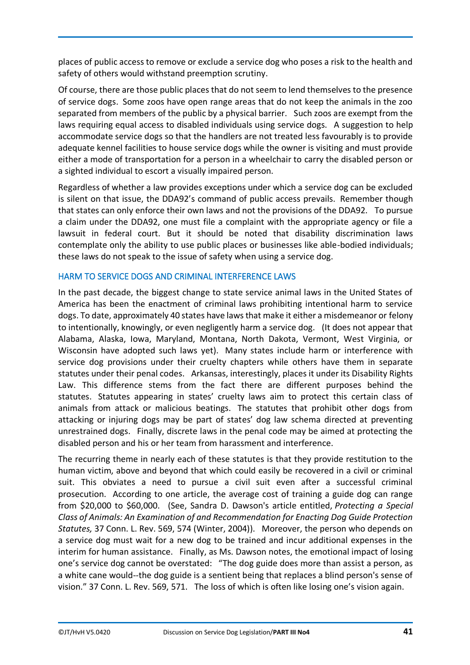places of public access to remove or exclude a service dog who poses a risk to the health and safety of others would withstand preemption scrutiny.

Of course, there are those public places that do not seem to lend themselves to the presence of service dogs. Some zoos have open range areas that do not keep the animals in the zoo separated from members of the public by a physical barrier. Such zoos are exempt from the laws requiring equal access to disabled individuals using service dogs. A suggestion to help accommodate service dogs so that the handlers are not treated less favourably is to provide adequate kennel facilities to house service dogs while the owner is visiting and must provide either a mode of transportation for a person in a wheelchair to carry the disabled person or a sighted individual to escort a visually impaired person.

Regardless of whether a law provides exceptions under which a service dog can be excluded is silent on that issue, the DDA92's command of public access prevails. Remember though that states can only enforce their own laws and not the provisions of the DDA92. To pursue a claim under the DDA92, one must file a complaint with the appropriate agency or file a lawsuit in federal court. But it should be noted that disability discrimination laws contemplate only the ability to use public places or businesses like able-bodied individuals; these laws do not speak to the issue of safety when using a service dog.

#### <span id="page-40-0"></span>HARM TO SERVICE DOGS AND CRIMINAL INTERFERENCE LAWS

In the past decade, the biggest change to state service animal laws in the United States of America has been the enactment of criminal laws prohibiting intentional harm to service dogs. To date, approximately 40 states have laws that make it either a misdemeanor or felony to intentionally, knowingly, or even negligently harm a service dog. (It does not appear that Alabama, Alaska, Iowa, Maryland, Montana, North Dakota, Vermont, West Virginia, or Wisconsin have adopted such laws yet). Many states include harm or interference with service dog provisions under their cruelty chapters while others have them in separate statutes under their penal codes. Arkansas, interestingly, places it under its Disability Rights Law. This difference stems from the fact there are different purposes behind the statutes. Statutes appearing in states' cruelty laws aim to protect this certain class of animals from attack or malicious beatings. The statutes that prohibit other dogs from attacking or injuring dogs may be part of states' dog law schema directed at preventing unrestrained dogs. Finally, discrete laws in the penal code may be aimed at protecting the disabled person and his or her team from harassment and interference.

The recurring theme in nearly each of these statutes is that they provide restitution to the human victim, above and beyond that which could easily be recovered in a civil or criminal suit. This obviates a need to pursue a civil suit even after a successful criminal prosecution. According to one article, the average cost of training a guide dog can range from \$20,000 to \$60,000. (See, Sandra D. Dawson's article entitled, *Protecting a Special Class of Animals: An Examination of and Recommendation for Enacting Dog Guide Protection Statutes,* 37 Conn. L. Rev. 569, 574 (Winter, 2004)). Moreover, the person who depends on a service dog must wait for a new dog to be trained and incur additional expenses in the interim for human assistance. Finally, as Ms. Dawson notes, the emotional impact of losing one's service dog cannot be overstated: "The dog guide does more than assist a person, as a white cane would--the dog guide is a sentient being that replaces a blind person's sense of vision." 37 Conn. L. Rev. 569, 571. The loss of which is often like losing one's vision again.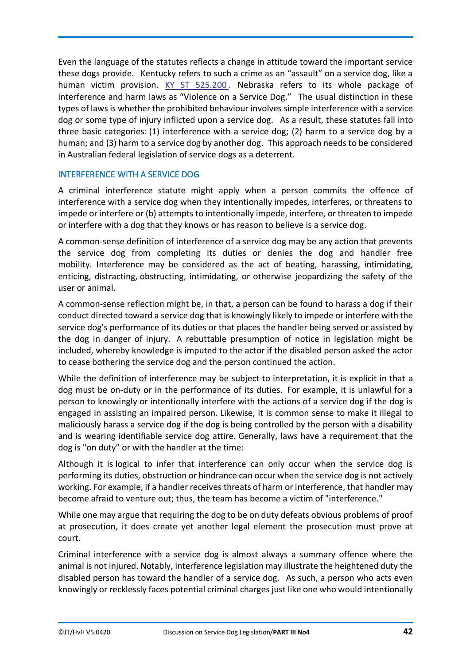Even the language of the statutes reflects a change in attitude toward the important service these dogs provide. Kentucky refers to such a crime as an "assault" on a service dog, like a human victim provision. [KY ST 525.200](https://www.animallaw.info/statutes/stuskyguidedoglaws.htm) . Nebraska refers to its whole package of interference and harm laws as "Violence on a Service Dog." The usual distinction in these types of laws is whether the prohibited behaviour involves simple interference with a service dog or some type of injury inflicted upon a service dog. As a result, these statutes fall into three basic categories: (1) interference with a service dog; (2) harm to a service dog by a human; and (3) harm to a service dog by another dog. This approach needs to be considered in Australian federal legislation of service dogs as a deterrent.

#### <span id="page-41-0"></span>INTERFERENCE WITH A SERVICE DOG

A criminal interference statute might apply when a person commits the offence of interference with a service dog when they intentionally impedes, interferes, or threatens to impede or interfere or (b) attempts to intentionally impede, interfere, or threaten to impede or interfere with a dog that they knows or has reason to believe is a service dog.

A common-sense definition of interference of a service dog may be any action that prevents the service dog from completing its duties or denies the dog and handler free mobility. Interference may be considered as the act of beating, harassing, intimidating, enticing, distracting, obstructing, intimidating, or otherwise jeopardizing the safety of the user or animal.

A common-sense reflection might be, in that, a person can be found to harass a dog if their conduct directed toward a service dog that is knowingly likely to impede or interfere with the service dog's performance of its duties or that places the handler being served or assisted by the dog in danger of injury. A rebuttable presumption of notice in legislation might be included, whereby knowledge is imputed to the actor if the disabled person asked the actor to cease bothering the service dog and the person continued the action.

While the definition of interference may be subject to interpretation, it is explicit in that a dog must be on-duty or in the performance of its duties. For example, it is unlawful for a person to knowingly or intentionally interfere with the actions of a service dog if the dog is engaged in assisting an impaired person. Likewise, it is common sense to make it illegal to maliciously harass a service dog if the dog is being controlled by the person with a disability and is wearing identifiable service dog attire. Generally, laws have a requirement that the dog is "on duty" or with the handler at the time:

Although it is logical to infer that interference can only occur when the service dog is performing its duties, obstruction or hindrance can occur when the service dog is not actively working. For example, if a handler receives threats of harm or interference, that handler may become afraid to venture out; thus, the team has become a victim of "interference."

While one may argue that requiring the dog to be on duty defeats obvious problems of proof at prosecution, it does create yet another legal element the prosecution must prove at court.

Criminal interference with a service dog is almost always a summary offence where the animal is not injured. Notably, interference legislation may illustrate the heightened duty the disabled person has toward the handler of a service dog. As such, a person who acts even knowingly or recklessly faces potential criminal charges just like one who would intentionally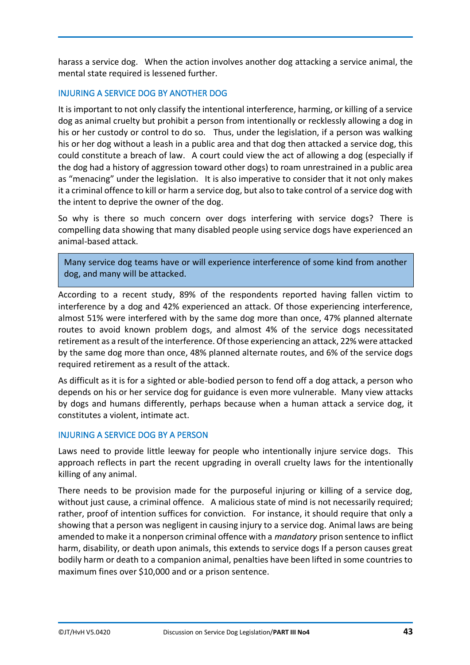harass a service dog. When the action involves another dog attacking a service animal, the mental state required is lessened further.

#### <span id="page-42-0"></span>INJURING A SERVICE DOG BY ANOTHER DOG

It is important to not only classify the intentional interference, harming, or killing of a service dog as animal cruelty but prohibit a person from intentionally or recklessly allowing a dog in his or her custody or control to do so. Thus, under the legislation, if a person was walking his or her dog without a leash in a public area and that dog then attacked a service dog, this could constitute a breach of law. A court could view the act of allowing a dog (especially if the dog had a history of aggression toward other dogs) to roam unrestrained in a public area as "menacing" under the legislation. It is also imperative to consider that it not only makes it a criminal offence to kill or harm a service dog, but also to take control of a service dog with the intent to deprive the owner of the dog.

So why is there so much concern over dogs interfering with service dogs? There is compelling data showing that many disabled people using service dogs have experienced an animal-based attack.

Many service dog teams have or will experience interference of some kind from another dog, and many will be attacked.

According to a recent study, 89% of the respondents reported having fallen victim to interference by a dog and 42% experienced an attack. Of those experiencing interference, almost 51% were interfered with by the same dog more than once, 47% planned alternate routes to avoid known problem dogs, and almost 4% of the service dogs necessitated retirement as a result of the interference. Of those experiencing an attack, 22% were attacked by the same dog more than once, 48% planned alternate routes, and 6% of the service dogs required retirement as a result of the attack.

As difficult as it is for a sighted or able-bodied person to fend off a dog attack, a person who depends on his or her service dog for guidance is even more vulnerable. Many view attacks by dogs and humans differently, perhaps because when a human attack a service dog, it constitutes a violent, intimate act.

#### <span id="page-42-1"></span>INJURING A SERVICE DOG BY A PERSON

Laws need to provide little leeway for people who intentionally injure service dogs. This approach reflects in part the recent upgrading in overall cruelty laws for the intentionally killing of any animal.

There needs to be provision made for the purposeful injuring or killing of a service dog, without just cause, a criminal offence. A malicious state of mind is not necessarily required; rather, proof of intention suffices for conviction. For instance, it should require that only a showing that a person was negligent in causing injury to a service dog. Animal laws are being amended to make it a nonperson criminal offence with a *mandatory* prison sentence to inflict harm, disability, or death upon animals, this extends to service dogs If a person causes great bodily harm or death to a companion animal, penalties have been lifted in some countries to maximum fines over \$10,000 and or a prison sentence.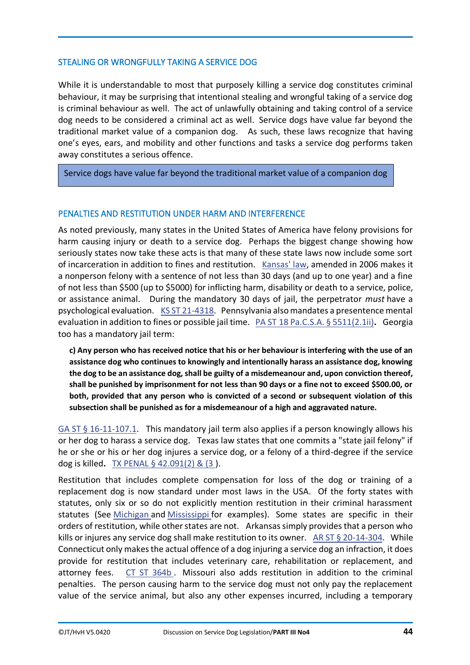#### <span id="page-43-0"></span>STEALING OR WRONGFULLY TAKING A SERVICE DOG

While it is understandable to most that purposely killing a service dog constitutes criminal behaviour, it may be surprising that intentional stealing and wrongful taking of a service dog is criminal behaviour as well. The act of unlawfully obtaining and taking control of a service dog needs to be considered a criminal act as well. Service dogs have value far beyond the traditional market value of a companion dog. As such, these laws recognize that having one's eyes, ears, and mobility and other functions and tasks a service dog performs taken away constitutes a serious offence.

Service dogs have value far beyond the traditional market value of a companion dog

#### <span id="page-43-1"></span>PENALTIES AND RESTITUTION UNDER HARM AND INTERFERENCE

As noted previously, many states in the United States of America have felony provisions for harm causing injury or death to a service dog. Perhaps the biggest change showing how seriously states now take these acts is that many of these state laws now include some sort of incarceration in addition to fines and restitution. [Kansas' law,](https://www.animallaw.info/statutes/stusksst21_4310.htm#s4318) amended in 2006 makes it a nonperson felony with a sentence of not less than 30 days (and up to one year) and a fine of not less than \$500 (up to \$5000) for inflicting harm, disability or death to a service, police, or assistance animal. During the mandatory 30 days of jail, the perpetrator *must* have a psychological evaluation. [KS ST 21-4318.](https://www.animallaw.info/statutes/stusksst21_4310.htm#s4318) Pennsylvania also mandates a presentence mental evaluation in addition to fines or possible jail time. PA ST [18 Pa.C.S.A. § 5511\(2.1ii\)](https://www.animallaw.info/statutes/stuspa18pacsa_5511.htm#s5511)**.** Georgia too has a mandatory jail term:

**c) Any person who has received notice that his or her behaviour is interfering with the use of an assistance dog who continues to knowingly and intentionally harass an assistance dog, knowing the dog to be an assistance dog, shall be guilty of a misdemeanour and, upon conviction thereof, shall be punished by imprisonment for not less than 90 days or a fine not to exceed \$500.00, or both, provided that any person who is convicted of a second or subsequent violation of this subsection shall be punished as for a misdemeanour of a high and aggravated nature.**

GA ST [§ 16-11-107.1.](https://www.animallaw.info/statutes/stusgast30_4_2.htm) This mandatory jail term also applies if a person knowingly allows his or her dog to harass a service dog. Texas law states that one commits a "state jail felony" if he or she or his or her dog injures a service dog, or a felony of a third-degree if the service dog is killed**.** [TX PENAL § 42.091\(2\) & \(3](https://www.animallaw.info/statutes/stustxguidedoglaws.htm#s42091) ).

Restitution that includes complete compensation for loss of the dog or training of a replacement dog is now standard under most laws in the USA. Of the forty states with statutes, only six or so do not explicitly mention restitution in their criminal harassment statutes (See [Michigan](https://www.animallaw.info/statutes/stusmi750_50a.htm) and [Mississippi](https://www.animallaw.info/statutes/stusmsst97_41_1.htm#s21) for examples). Some states are specific in their orders of restitution, while other states are not. Arkansas simply provides that a person who kills or injures any service dog shall make restitution to its owner. AR ST  $\S$  20-14-304. While Connecticut only makes the actual offence of a dog injuring a service dog an infraction, it does provide for restitution that includes veterinary care, rehabilitation or replacement, and attorney fees. [CT ST 364b](https://www.animallaw.info/statutes/stusctst22_327_367.htm#s364b) . Missouri also adds restitution in addition to the criminal penalties. The person causing harm to the service dog must not only pay the replacement value of the service animal, but also any other expenses incurred, including a temporary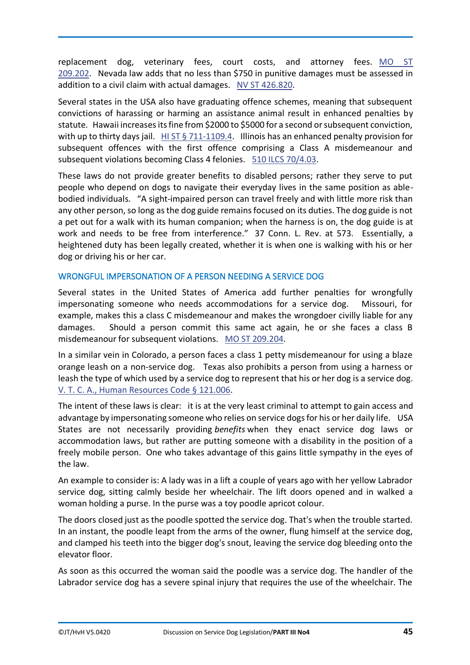replacement dog, veterinary fees, court costs, and attorney fees. [MO ST](https://www.animallaw.info/statutes/stusmoguidedoglaws.htm#s202)  [209.202.](https://www.animallaw.info/statutes/stusmoguidedoglaws.htm#s202) Nevada law adds that no less than \$750 in punitive damages must be assessed in addition to a civil claim with actual damages. NV ST [426.820.](https://www.animallaw.info/statutes/stusnvguidedoglaws.htm#s820)

Several states in the USA also have graduating offence schemes, meaning that subsequent convictions of harassing or harming an assistance animal result in enhanced penalties by statute. Hawaii increases its fine from \$2000 to \$5000 for a second or subsequent conviction, with up to thirty days jail. [HI ST § 711-1109.4.](https://www.animallaw.info/statutes/stushist711_1109.htm#guidedog) Illinois has an enhanced penalty provision for subsequent offences with the first offence comprising a Class A misdemeanour and subsequent violations becoming Class 4 felonies. [510 ILCS 70/4.03.](https://www.animallaw.info/statutes/stusil510ilcs70_1_16.htm#sec70_4_03)

These laws do not provide greater benefits to disabled persons; rather they serve to put people who depend on dogs to navigate their everyday lives in the same position as ablebodied individuals. "A sight-impaired person can travel freely and with little more risk than any other person, so long as the dog guide remains focused on its duties. The dog guide is not a pet out for a walk with its human companion; when the harness is on, the dog guide is at work and needs to be free from interference." 37 Conn. L. Rev. at 573. Essentially, a heightened duty has been legally created, whether it is when one is walking with his or her dog or driving his or her car.

#### <span id="page-44-0"></span>WRONGFUL IMPERSONATION OF A PERSON NEEDING A SERVICE DOG

Several states in the United States of America add further penalties for wrongfully impersonating someone who needs accommodations for a service dog. Missouri, for example, makes this a class C misdemeanour and makes the wrongdoer civilly liable for any damages. Should a person commit this same act again, he or she faces a class B misdemeanour for subsequent violations. MO [ST 209.204.](https://www.animallaw.info/statutes/stusmoguidedoglaws.htm#s204)

In a similar vein in Colorado, a person faces a class 1 petty misdemeanour for using a blaze orange leash on a non-service dog. Texas also prohibits a person from using a harness or leash the type of which used by a service dog to represent that his or her dog is a service dog. [V. T. C. A., Human Resources Code § 121.006.](https://www.animallaw.info/statutes/stustxguidedoglaws.htm#s6)

The intent of these laws is clear: it is at the very least criminal to attempt to gain access and advantage by impersonating someone who relies on service dogs for his or her daily life. USA States are not necessarily providing *benefits* when they enact service dog laws or accommodation laws, but rather are putting someone with a disability in the position of a freely mobile person. One who takes advantage of this gains little sympathy in the eyes of the law.

An example to consider is: A lady was in a lift a couple of years ago with her yellow Labrador service dog, sitting calmly beside her wheelchair. The lift doors opened and in walked a woman holding a purse. In the purse was a toy poodle apricot colour.

The doors closed just as the poodle spotted the service dog. That's when the trouble started. In an instant, the poodle leapt from the arms of the owner, flung himself at the service dog, and clamped his teeth into the bigger dog's snout, leaving the service dog bleeding onto the elevator floor.

As soon as this occurred the woman said the poodle was a service dog. The handler of the Labrador service dog has a severe spinal injury that requires the use of the wheelchair. The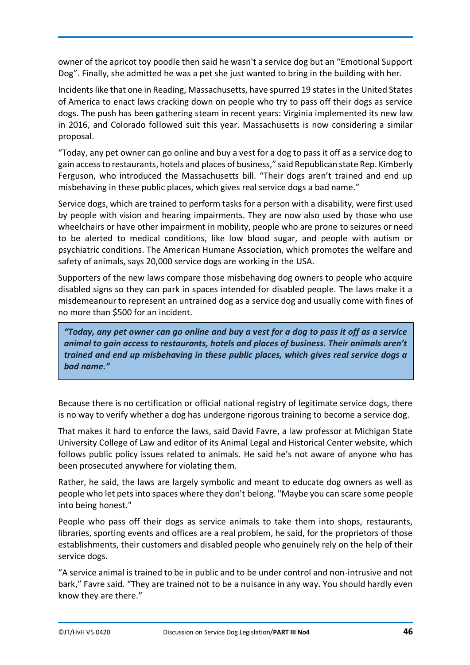owner of the apricot toy poodle then said he wasn't a service dog but an "Emotional Support Dog". Finally, she admitted he was a pet she just wanted to bring in the building with her.

Incidents like that one in Reading, Massachusetts, have spurred 19 states in the United States of America to enact laws cracking down on people who try to pass off their dogs as service dogs. The push has been gathering steam in recent years: Virginia implemented its new law in 2016, and Colorado followed suit this year. Massachusetts is now considering a similar proposal.

"Today, any pet owner can go online and buy a vest for a dog to pass it off as a service dog to gain access to restaurants, hotels and places of business," said Republican state Rep. Kimberly Ferguson, who introduced the Massachusetts bill. "Their dogs aren't trained and end up misbehaving in these public places, which gives real service dogs a bad name."

Service dogs, which are trained to perform tasks for a person with a disability, were first used by people with vision and hearing impairments. They are now also used by those who use wheelchairs or have other impairment in mobility, people who are prone to seizures or need to be alerted to medical conditions, like low blood sugar, and people with autism or psychiatric conditions. The American Humane Association, which promotes the welfare and safety of animals, says 20,000 service dogs are working in the USA.

Supporters of the new laws compare those misbehaving dog owners to people who acquire disabled signs so they can park in spaces intended for disabled people. The laws make it a misdemeanour to represent an untrained dog as a service dog and usually come with fines of no more than \$500 for an incident.

*"Today, any pet owner can go online and buy a vest for a dog to pass it off as a service animal to gain access to restaurants, hotels and places of business. Their animals aren't trained and end up misbehaving in these public places, which gives real service dogs a bad name."*

Because there is no certification or official national registry of legitimate service dogs, there is no way to verify whether a dog has undergone rigorous training to become a service dog.

That makes it hard to enforce the laws, said David Favre, a law professor at Michigan State University College of Law and editor of its Animal Legal and Historical Center website, which follows public policy issues related to animals. He said he's not aware of anyone who has been prosecuted anywhere for violating them.

Rather, he said, the laws are largely symbolic and meant to educate dog owners as well as people who let pets into spaces where they don't belong. "Maybe you can scare some people into being honest."

People who pass off their dogs as service animals to take them into shops, restaurants, libraries, sporting events and offices are a real problem, he said, for the proprietors of those establishments, their customers and disabled people who genuinely rely on the help of their service dogs.

"A service animal is trained to be in public and to be under control and non-intrusive and not bark," Favre said. "They are trained not to be a nuisance in any way. You should hardly even know they are there."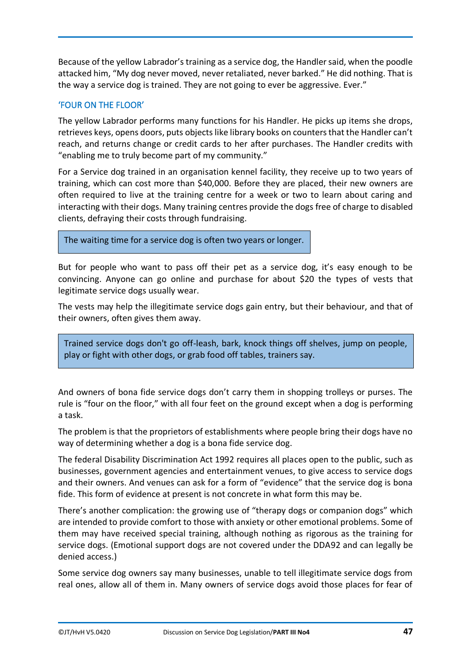Because of the yellow Labrador's training as a service dog, the Handler said, when the poodle attacked him, "My dog never moved, never retaliated, never barked." He did nothing. That is the way a service dog is trained. They are not going to ever be aggressive. Ever."

#### <span id="page-46-0"></span>'FOUR ON THE FLOOR'

The yellow Labrador performs many functions for his Handler. He picks up items she drops, retrieves keys, opens doors, puts objects like library books on counters that the Handler can't reach, and returns change or credit cards to her after purchases. The Handler credits with "enabling me to truly become part of my community."

For a Service dog trained in an organisation kennel facility, they receive up to two years of training, which can cost more than \$40,000. Before they are placed, their new owners are often required to live at the training centre for a week or two to learn about caring and interacting with their dogs. Many training centres provide the dogs free of charge to disabled clients, defraying their costs through fundraising.

```
The waiting time for a service dog is often two years or longer.
```
But for people who want to pass off their pet as a service dog, it's easy enough to be convincing. Anyone can go online and purchase for about \$20 the types of vests that legitimate service dogs usually wear.

The vests may help the illegitimate service dogs gain entry, but their behaviour, and that of their owners, often gives them away.

Trained service dogs don't go off-leash, bark, knock things off shelves, jump on people, play or fight with other dogs, or grab food off tables, trainers say.

And owners of bona fide service dogs don't carry them in shopping trolleys or purses. The rule is "four on the floor," with all four feet on the ground except when a dog is performing a task.

The problem is that the proprietors of establishments where people bring their dogs have no way of determining whether a dog is a bona fide service dog.

The federal Disability Discrimination Act 1992 requires all places open to the public, such as businesses, government agencies and entertainment venues, to give access to service dogs and their owners. And venues can ask for a form of "evidence" that the service dog is bona fide. This form of evidence at present is not concrete in what form this may be.

There's another complication: the growing use of "therapy dogs or companion dogs" which are intended to provide comfort to those with anxiety or other emotional problems. Some of them may have received special training, although nothing as rigorous as the training for service dogs. (Emotional support dogs are not covered under the DDA92 and can legally be denied access.)

Some service dog owners say many businesses, unable to tell illegitimate service dogs from real ones, allow all of them in. Many owners of service dogs avoid those places for fear of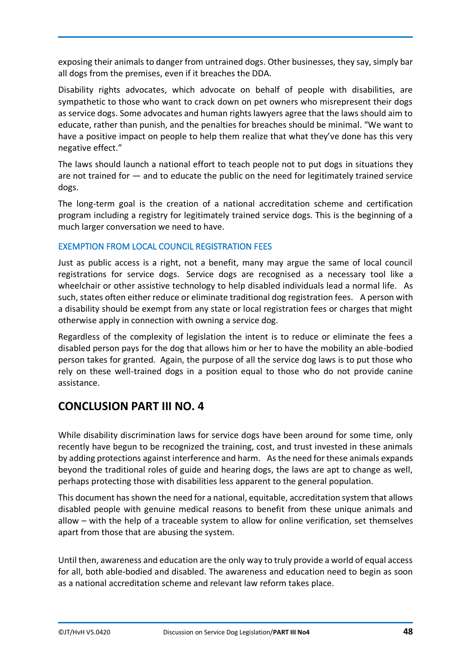exposing their animals to danger from untrained dogs. Other businesses, they say, simply bar all dogs from the premises, even if it breaches the DDA.

Disability rights advocates, which advocate on behalf of people with disabilities, are sympathetic to those who want to crack down on pet owners who misrepresent their dogs as service dogs. Some advocates and human rights lawyers agree that the laws should aim to educate, rather than punish, and the penalties for breaches should be minimal. "We want to have a positive impact on people to help them realize that what they've done has this very negative effect."

The laws should launch a national effort to teach people not to put dogs in situations they are not trained for — and to educate the public on the need for legitimately trained service dogs.

The long-term goal is the creation of a national accreditation scheme and certification program including a registry for legitimately trained service dogs. This is the beginning of a much larger conversation we need to have.

#### <span id="page-47-0"></span>EXEMPTION FROM LOCAL COUNCIL REGISTRATION FEES

Just as public access is a right, not a benefit, many may argue the same of local council registrations for service dogs. Service dogs are recognised as a necessary tool like a wheelchair or other assistive technology to help disabled individuals lead a normal life. As such, states often either reduce or eliminate traditional dog registration fees. A person with a disability should be exempt from any state or local registration fees or charges that might otherwise apply in connection with owning a service dog.

Regardless of the complexity of legislation the intent is to reduce or eliminate the fees a disabled person pays for the dog that allows him or her to have the mobility an able-bodied person takes for granted. Again, the purpose of all the service dog laws is to put those who rely on these well-trained dogs in a position equal to those who do not provide canine assistance.

## <span id="page-47-1"></span>**CONCLUSION PART III NO. 4**

While disability discrimination laws for service dogs have been around for some time, only recently have begun to be recognized the training, cost, and trust invested in these animals by adding protections against interference and harm. As the need for these animals expands beyond the traditional roles of guide and hearing dogs, the laws are apt to change as well, perhaps protecting those with disabilities less apparent to the general population.

This document has shown the need for a national, equitable, accreditation system that allows disabled people with genuine medical reasons to benefit from these unique animals and allow – with the help of a traceable system to allow for online verification, set themselves apart from those that are abusing the system.

Until then, awareness and education are the only way to truly provide a world of equal access for all, both able-bodied and disabled. The awareness and education need to begin as soon as a national accreditation scheme and relevant law reform takes place.